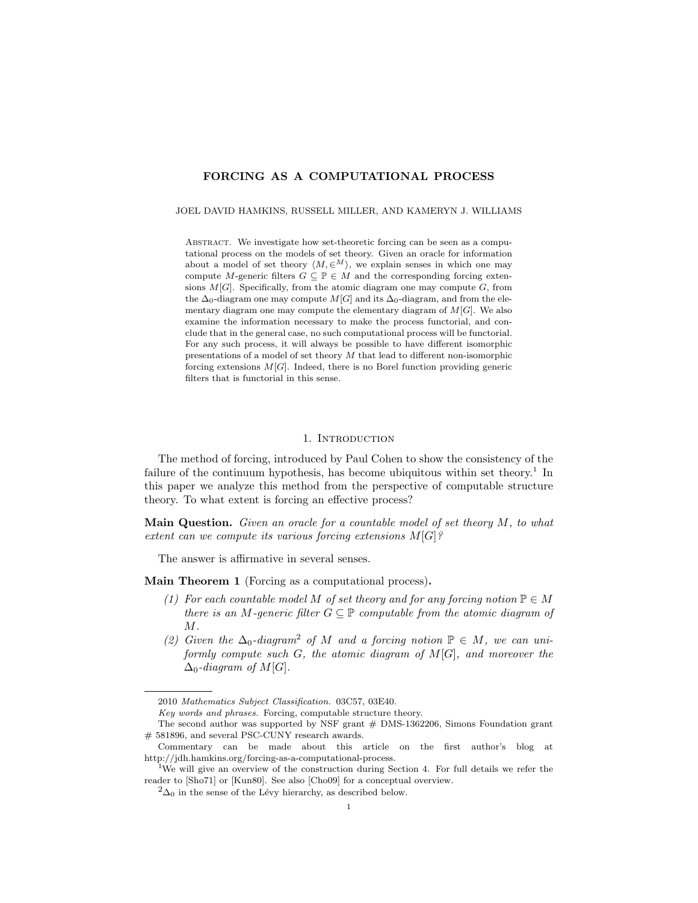## FORCING AS A COMPUTATIONAL PROCESS

JOEL DAVID HAMKINS, RUSSELL MILLER, AND KAMERYN J. WILLIAMS

ABSTRACT. We investigate how set-theoretic forcing can be seen as a computational process on the models of set theory. Given an oracle for information about a model of set theory  $\langle M, \in^M \rangle$ , we explain senses in which one may compute M-generic filters  $G \subseteq \mathbb{P} \in M$  and the corresponding forcing extensions  $M[G]$ . Specifically, from the atomic diagram one may compute  $G$ , from the  $\Delta_0$ -diagram one may compute  $M[G]$  and its  $\Delta_0$ -diagram, and from the elementary diagram one may compute the elementary diagram of  $M[G]$ . We also examine the information necessary to make the process functorial, and conclude that in the general case, no such computational process will be functorial. For any such process, it will always be possible to have different isomorphic presentations of a model of set theory M that lead to different non-isomorphic forcing extensions  $M[G]$ . Indeed, there is no Borel function providing generic filters that is functorial in this sense.

#### 1. INTRODUCTION

The method of forcing, introduced by Paul Cohen to show the consistency of the failure of the continuum hypothesis, has become ubiquitous within set theory.<sup>[1](#page-0-0)</sup> In this paper we analyze this method from the perspective of computable structure theory. To what extent is forcing an effective process?

**Main Question.** Given an oracle for a countable model of set theory  $M$ , to what extent can we compute its various forcing extensions  $M[G]$ ?

The answer is affirmative in several senses.

<span id="page-0-2"></span>Main Theorem 1 (Forcing as a computational process).

- (1) For each countable model M of set theory and for any forcing notion  $\mathbb{P} \in M$ there is an M-generic filter  $G \subseteq \mathbb{P}$  computable from the atomic diagram of  $M$ .
- ([2](#page-0-1)) Given the  $\Delta_0$ -diagram<sup>2</sup> of M and a forcing notion  $\mathbb{P} \in M$ , we can uniformly compute such  $G$ , the atomic diagram of  $M[G]$ , and moreover the  $\Delta_0$ -diagram of  $M[G]$ .

Key words and phrases. Forcing, computable structure theory.

<sup>2010</sup> Mathematics Subject Classification. 03C57, 03E40.

The second author was supported by NSF grant # DMS-1362206, Simons Foundation grant # 581896, and several PSC-CUNY research awards.

Commentary can be made about this article on the first author's blog at [http://jdh.hamkins.org/forcing-as-a-computational-process.](http://jdh.hamkins.org/)

<span id="page-0-0"></span><sup>&</sup>lt;sup>1</sup>We will give an overview of the construction during Section [4.](#page-4-0) For full details we refer the reader to [\[Sho71\]](#page-25-0) or [\[Kun80\]](#page-24-0). See also [\[Cho09\]](#page-24-1) for a conceptual overview.

<span id="page-0-1"></span> $^{2}\Delta_{0}$  in the sense of the Lévy hierarchy, as described below.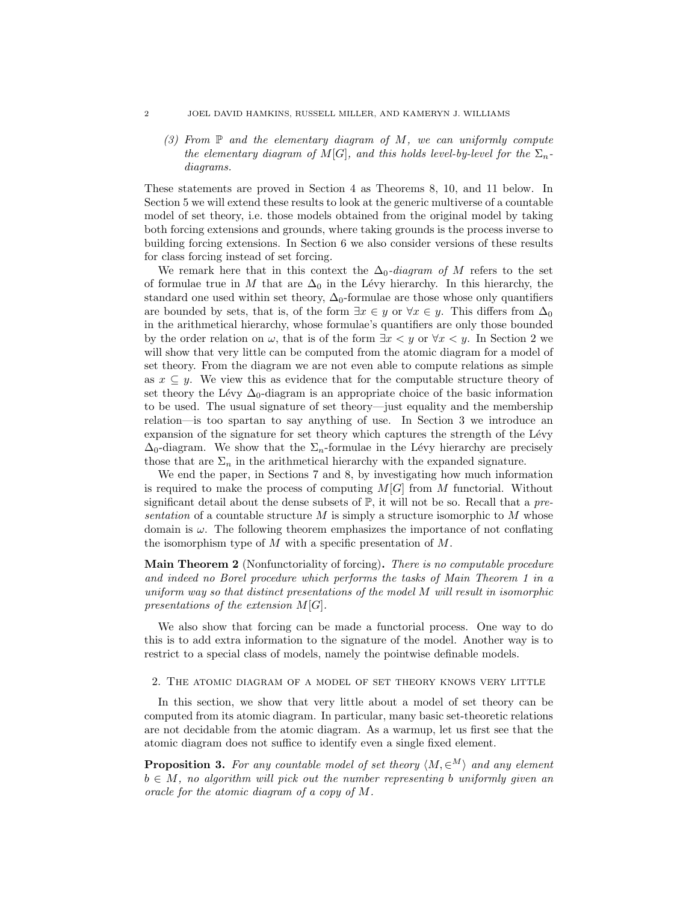#### 2 JOEL DAVID HAMKINS, RUSSELL MILLER, AND KAMERYN J. WILLIAMS

(3) From  $\mathbb P$  and the elementary diagram of M, we can uniformly compute the elementary diagram of M[G], and this holds level-by-level for the  $\Sigma_n$ diagrams.

These statements are proved in Section [4](#page-4-0) as Theorems [8,](#page-5-0) [10,](#page-8-0) and [11](#page-9-0) below. In Section [5](#page-11-0) we will extend these results to look at the generic multiverse of a countable model of set theory, i.e. those models obtained from the original model by taking both forcing extensions and grounds, where taking grounds is the process inverse to building forcing extensions. In Section [6](#page-15-0) we also consider versions of these results for class forcing instead of set forcing.

We remark here that in this context the  $\Delta_0$ -diagram of M refers to the set of formulae true in M that are  $\Delta_0$  in the Lévy hierarchy. In this hierarchy, the standard one used within set theory,  $\Delta_0$ -formulae are those whose only quantifiers are bounded by sets, that is, of the form  $\exists x \in y$  or  $\forall x \in y$ . This differs from  $\Delta_0$ in the arithmetical hierarchy, whose formulae's quantifiers are only those bounded by the order relation on  $\omega$ , that is of the form  $\exists x < y$  or  $\forall x < y$ . In Section [2](#page-1-0) we will show that very little can be computed from the atomic diagram for a model of set theory. From the diagram we are not even able to compute relations as simple as  $x \subseteq y$ . We view this as evidence that for the computable structure theory of set theory the Lévy  $\Delta_0$ -diagram is an appropriate choice of the basic information to be used. The usual signature of set theory—just equality and the membership relation—is too spartan to say anything of use. In Section [3](#page-3-0) we introduce an expansion of the signature for set theory which captures the strength of the Lévy  $\Delta_0$ -diagram. We show that the  $\Sigma_n$ -formulae in the Lévy hierarchy are precisely those that are  $\Sigma_n$  in the arithmetical hierarchy with the expanded signature.

We end the paper, in Sections [7](#page-17-0) and [8,](#page-19-0) by investigating how much information is required to make the process of computing  $M[G]$  from M functorial. Without significant detail about the dense subsets of  $\mathbb{P}$ , it will not be so. Recall that a presentation of a countable structure  $M$  is simply a structure isomorphic to  $M$  whose domain is  $\omega$ . The following theorem emphasizes the importance of not conflating the isomorphism type of  $M$  with a specific presentation of  $M$ .

Main Theorem 2 (Nonfunctoriality of forcing). There is no computable procedure and indeed no Borel procedure which performs the tasks of Main Theorem [1](#page-0-2) in a uniform way so that distinct presentations of the model M will result in isomorphic presentations of the extension  $M[G]$ .

We also show that forcing can be made a functorial process. One way to do this is to add extra information to the signature of the model. Another way is to restrict to a special class of models, namely the pointwise definable models.

### <span id="page-1-0"></span>2. The atomic diagram of a model of set theory knows very little

In this section, we show that very little about a model of set theory can be computed from its atomic diagram. In particular, many basic set-theoretic relations are not decidable from the atomic diagram. As a warmup, let us first see that the atomic diagram does not suffice to identify even a single fixed element.

**Proposition 3.** For any countable model of set theory  $\langle M, \infty^M \rangle$  and any element  $b \in M$ , no algorithm will pick out the number representing b uniformly given an oracle for the atomic diagram of a copy of M.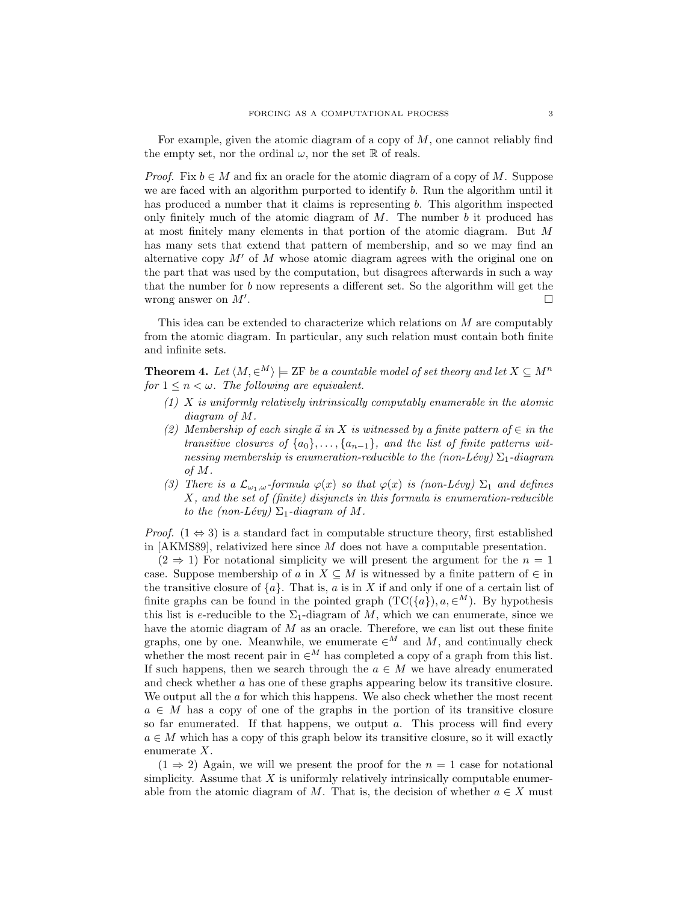For example, given the atomic diagram of a copy of  $M$ , one cannot reliably find the empty set, nor the ordinal  $\omega$ , nor the set R of reals.

*Proof.* Fix  $b \in M$  and fix an oracle for the atomic diagram of a copy of M. Suppose we are faced with an algorithm purported to identify b. Run the algorithm until it has produced a number that it claims is representing b. This algorithm inspected only finitely much of the atomic diagram of  $M$ . The number  $b$  it produced has at most finitely many elements in that portion of the atomic diagram. But M has many sets that extend that pattern of membership, and so we may find an alternative copy  $M'$  of M whose atomic diagram agrees with the original one on the part that was used by the computation, but disagrees afterwards in such a way that the number for b now represents a different set. So the algorithm will get the wrong answer on  $M'$ . .

This idea can be extended to characterize which relations on  $M$  are computably from the atomic diagram. In particular, any such relation must contain both finite and infinite sets.

<span id="page-2-0"></span>**Theorem 4.** Let  $\langle M, \in^M \rangle \models$  ZF be a countable model of set theory and let  $X \subseteq M^n$ for  $1 \leq n < \omega$ . The following are equivalent.

- (1) X is uniformly relatively intrinsically computably enumerable in the atomic diagram of M.
- (2) Membership of each single  $\vec{a}$  in X is witnessed by a finite pattern of  $\in$  in the transitive closures of  $\{a_0\}, \ldots, \{a_{n-1}\}$ , and the list of finite patterns witnessing membership is enumeration-reducible to the (non-Lévy)  $\Sigma_1$ -diagram of M.
- (3) There is a  $\mathcal{L}_{\omega_1,\omega}$ -formula  $\varphi(x)$  so that  $\varphi(x)$  is (non-Lévy)  $\Sigma_1$  and defines  $X$ , and the set of (finite) disjuncts in this formula is enumeration-reducible to the (non-Lévy)  $\Sigma_1$ -diagram of M.

*Proof.* (1  $\Leftrightarrow$  3) is a standard fact in computable structure theory, first established in  $[AKMSS9]$ , relativized here since  $M$  does not have a computable presentation.

 $(2 \Rightarrow 1)$  For notational simplicity we will present the argument for the  $n = 1$ case. Suppose membership of a in  $X \subseteq M$  is witnessed by a finite pattern of  $\in$  in the transitive closure of  $\{a\}$ . That is, a is in X if and only if one of a certain list of finite graphs can be found in the pointed graph  $(TC({a}), a \in M)$ . By hypothesis this list is e-reducible to the  $\Sigma_1$ -diagram of M, which we can enumerate, since we have the atomic diagram of M as an oracle. Therefore, we can list out these finite graphs, one by one. Meanwhile, we enumerate  $\in^M$  and M, and continually check whether the most recent pair in  $\in^M$  has completed a copy of a graph from this list. If such happens, then we search through the  $a \in M$  we have already enumerated and check whether a has one of these graphs appearing below its transitive closure. We output all the  $a$  for which this happens. We also check whether the most recent  $a \in M$  has a copy of one of the graphs in the portion of its transitive closure so far enumerated. If that happens, we output  $a$ . This process will find every  $a \in M$  which has a copy of this graph below its transitive closure, so it will exactly enumerate X.

 $(1 \Rightarrow 2)$  Again, we will we present the proof for the  $n = 1$  case for notational simplicity. Assume that  $X$  is uniformly relatively intrinsically computable enumerable from the atomic diagram of M. That is, the decision of whether  $a \in X$  must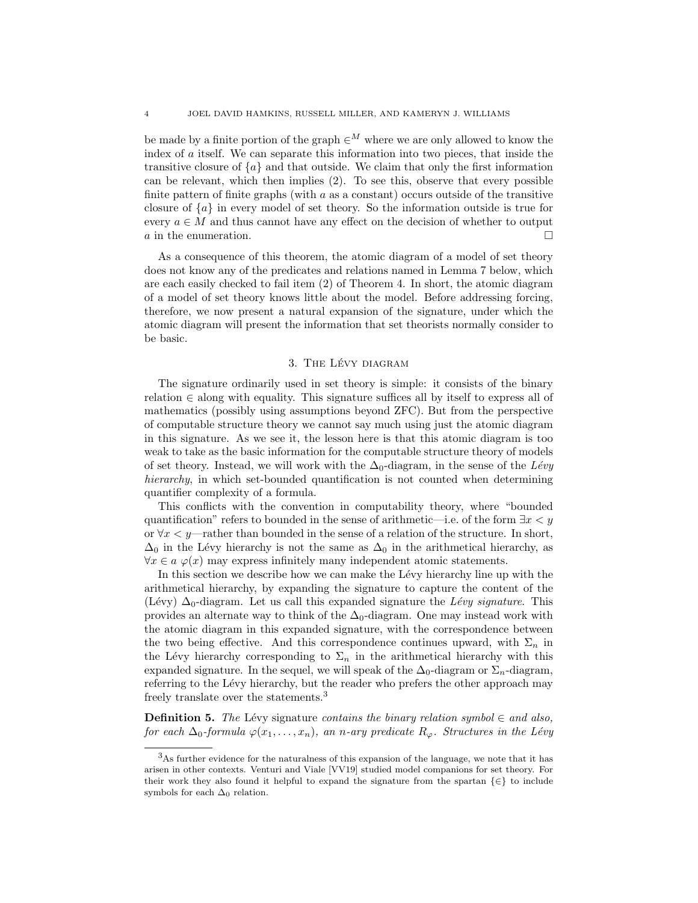be made by a finite portion of the graph  $\in^M$  where we are only allowed to know the index of a itself. We can separate this information into two pieces, that inside the transitive closure of  $\{a\}$  and that outside. We claim that only the first information can be relevant, which then implies (2). To see this, observe that every possible finite pattern of finite graphs (with  $a$  as a constant) occurs outside of the transitive closure of  $\{a\}$  in every model of set theory. So the information outside is true for every  $a \in M$  and thus cannot have any effect on the decision of whether to output  $a$  in the enumeration.

As a consequence of this theorem, the atomic diagram of a model of set theory does not know any of the predicates and relations named in Lemma [7](#page-4-1) below, which are each easily checked to fail item (2) of Theorem [4.](#page-2-0) In short, the atomic diagram of a model of set theory knows little about the model. Before addressing forcing, therefore, we now present a natural expansion of the signature, under which the atomic diagram will present the information that set theorists normally consider to be basic.

### 3. THE LÉVY DIAGRAM

<span id="page-3-0"></span>The signature ordinarily used in set theory is simple: it consists of the binary relation  $\in$  along with equality. This signature suffices all by itself to express all of mathematics (possibly using assumptions beyond ZFC). But from the perspective of computable structure theory we cannot say much using just the atomic diagram in this signature. As we see it, the lesson here is that this atomic diagram is too weak to take as the basic information for the computable structure theory of models of set theory. Instead, we will work with the  $\Delta_0$ -diagram, in the sense of the Lévy hierarchy, in which set-bounded quantification is not counted when determining quantifier complexity of a formula.

This conflicts with the convention in computability theory, where "bounded quantification" refers to bounded in the sense of arithmetic—i.e. of the form  $\exists x \leq y$ or  $\forall x \leq y$ —rather than bounded in the sense of a relation of the structure. In short,  $\Delta_0$  in the Lévy hierarchy is not the same as  $\Delta_0$  in the arithmetical hierarchy, as  $\forall x \in a \varphi(x)$  may express infinitely many independent atomic statements.

In this section we describe how we can make the Lévy hierarchy line up with the arithmetical hierarchy, by expanding the signature to capture the content of the (Lévy)  $\Delta_0$ -diagram. Let us call this expanded signature the Lévy signature. This provides an alternate way to think of the  $\Delta_0$ -diagram. One may instead work with the atomic diagram in this expanded signature, with the correspondence between the two being effective. And this correspondence continues upward, with  $\Sigma_n$  in the Lévy hierarchy corresponding to  $\Sigma_n$  in the arithmetical hierarchy with this expanded signature. In the sequel, we will speak of the  $\Delta_0$ -diagram or  $\Sigma_n$ -diagram, referring to the Lévy hierarchy, but the reader who prefers the other approach may freely translate over the statements.[3](#page-3-1)

**Definition 5.** The Lévy signature contains the binary relation symbol  $\in$  and also, for each  $\Delta_0$ -formula  $\varphi(x_1,\ldots,x_n)$ , an n-ary predicate  $R_{\varphi}$ . Structures in the Lévy

<span id="page-3-1"></span><sup>3</sup>As further evidence for the naturalness of this expansion of the language, we note that it has arisen in other contexts. Venturi and Viale [\[VV19\]](#page-25-1) studied model companions for set theory. For their work they also found it helpful to expand the signature from the spartan  $\{\in\}$  to include symbols for each  $\Delta_0$  relation.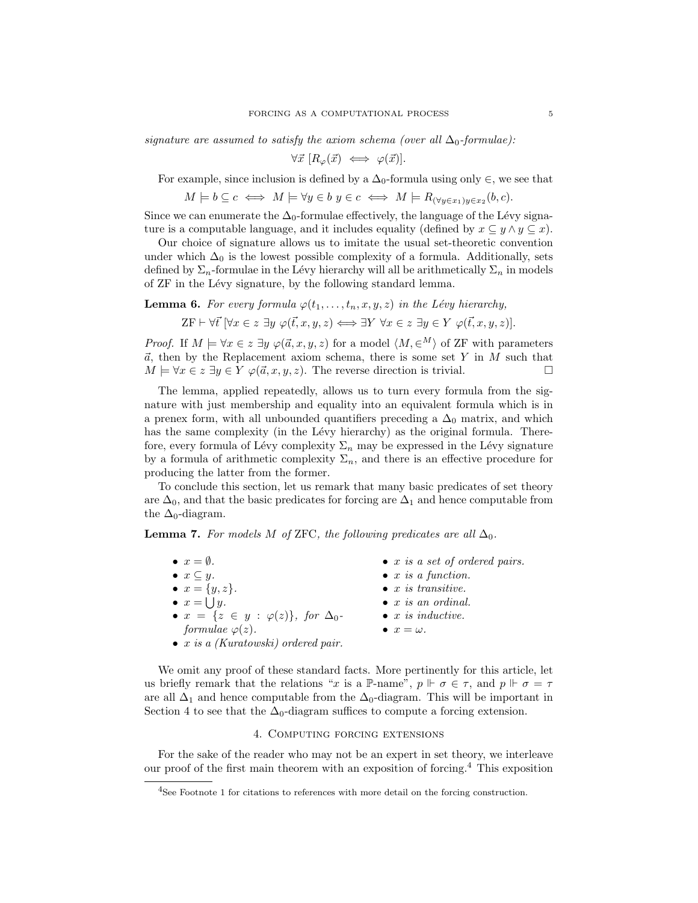signature are assumed to satisfy the axiom schema (over all  $\Delta_0$ -formulae):

$$
\forall \vec{x} \; [R_{\varphi}(\vec{x}) \iff \varphi(\vec{x})].
$$

For example, since inclusion is defined by a  $\Delta_0$ -formula using only  $\in$ , we see that

$$
M \models b \subseteq c \iff M \models \forall y \in b \ y \in c \iff M \models R_{(\forall y \in x_1)y \in x_2}(b, c).
$$

Since we can enumerate the  $\Delta_0$ -formulae effectively, the language of the Lévy signature is a computable language, and it includes equality (defined by  $x \subseteq y \land y \subseteq x$ ).

Our choice of signature allows us to imitate the usual set-theoretic convention under which  $\Delta_0$  is the lowest possible complexity of a formula. Additionally, sets defined by  $\Sigma_n$ -formulae in the Lévy hierarchy will all be arithmetically  $\Sigma_n$  in models of ZF in the Lévy signature, by the following standard lemma.

**Lemma 6.** For every formula  $\varphi(t_1, \ldots, t_n, x, y, z)$  in the Lévy hierarchy,

 $ZF \vdash \forall \vec{t} \; [\forall x \in z \; \exists y \; \varphi(\vec{t}, x, y, z) \Longleftrightarrow \exists Y \; \forall x \in z \; \exists y \in Y \; \varphi(\vec{t}, x, y, z)].$ 

*Proof.* If  $M \models \forall x \in z \exists y \; \varphi(\vec{a}, x, y, z)$  for a model  $\langle M, \in M \rangle$  of ZF with parameters  $\vec{a}$ , then by the Replacement axiom schema, there is some set Y in M such that  $M \models \forall x \in z \exists y \in Y \varphi(\vec{a}, x, y, z)$ . The reverse direction is trivial.

The lemma, applied repeatedly, allows us to turn every formula from the signature with just membership and equality into an equivalent formula which is in a prenex form, with all unbounded quantifiers preceding a  $\Delta_0$  matrix, and which has the same complexity (in the Lévy hierarchy) as the original formula. Therefore, every formula of Lévy complexity  $\Sigma_n$  may be expressed in the Lévy signature by a formula of arithmetic complexity  $\Sigma_n$ , and there is an effective procedure for producing the latter from the former.

To conclude this section, let us remark that many basic predicates of set theory are  $\Delta_0$ , and that the basic predicates for forcing are  $\Delta_1$  and hence computable from the  $\Delta_0$ -diagram.

<span id="page-4-1"></span>**Lemma 7.** For models M of ZFC, the following predicates are all  $\Delta_0$ .

| $\bullet x = \emptyset.$                               | $\bullet$ x is a set of ordered pairs. |
|--------------------------------------------------------|----------------------------------------|
| $\bullet x \subseteq y.$                               | $\bullet$ x is a function.             |
| • $x = \{y, z\}.$                                      | $\bullet$ x is transitive.             |
| $\bullet x = \bigcup y.$                               | $\bullet$ x is an ordinal.             |
| • $x = \{z \in y : \varphi(z)\}\text{, for } \Delta_0$ | $\bullet$ x is inductive.              |
| formulae $\varphi(z)$ .                                | $\bullet x = \omega.$                  |
| $\bullet$ x is a (Kuratowski) ordered pair.            |                                        |

We omit any proof of these standard facts. More pertinently for this article, let us briefly remark that the relations "x is a P-name",  $p \Vdash \sigma \in \tau$ , and  $p \Vdash \sigma = \tau$ are all  $\Delta_1$  and hence computable from the  $\Delta_0$ -diagram. This will be important in Section [4](#page-4-0) to see that the  $\Delta_0$ -diagram suffices to compute a forcing extension.

### 4. Computing forcing extensions

<span id="page-4-0"></span>For the sake of the reader who may not be an expert in set theory, we interleave our proof of the first main theorem with an exposition of forcing.[4](#page-4-2) This exposition

<span id="page-4-2"></span><sup>4</sup>See Footnote [1](#page-0-0) for citations to references with more detail on the forcing construction.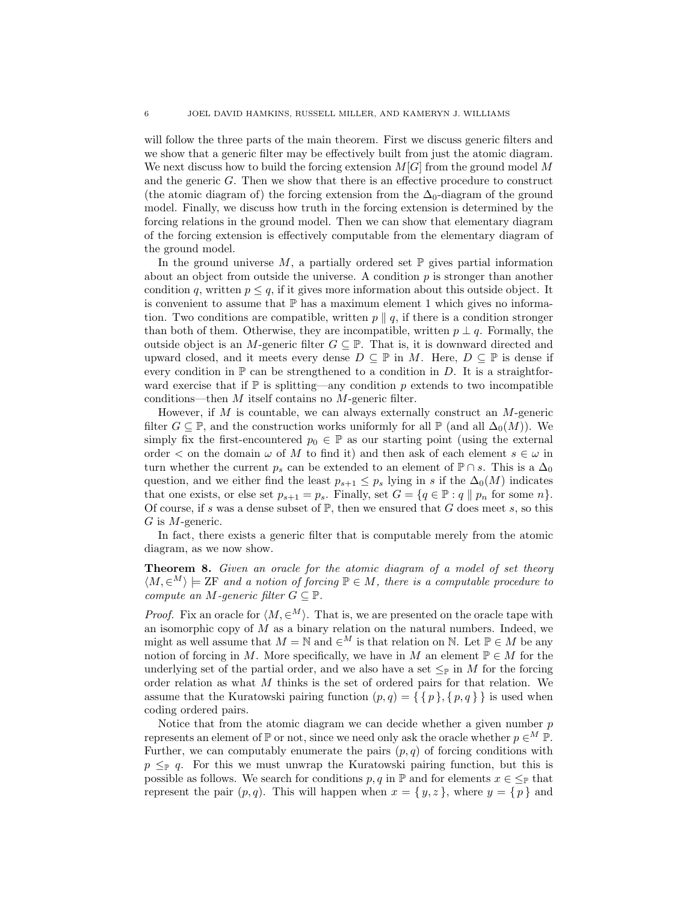will follow the three parts of the main theorem. First we discuss generic filters and we show that a generic filter may be effectively built from just the atomic diagram. We next discuss how to build the forcing extension  $M[G]$  from the ground model M and the generic  $G$ . Then we show that there is an effective procedure to construct (the atomic diagram of) the forcing extension from the  $\Delta_0$ -diagram of the ground model. Finally, we discuss how truth in the forcing extension is determined by the forcing relations in the ground model. Then we can show that elementary diagram of the forcing extension is effectively computable from the elementary diagram of the ground model.

In the ground universe  $M$ , a partially ordered set  $\mathbb P$  gives partial information about an object from outside the universe. A condition  $p$  is stronger than another condition q, written  $p \leq q$ , if it gives more information about this outside object. It is convenient to assume that  $\mathbb P$  has a maximum element 1 which gives no information. Two conditions are compatible, written  $p \parallel q$ , if there is a condition stronger than both of them. Otherwise, they are incompatible, written  $p \perp q$ . Formally, the outside object is an M-generic filter  $G \subseteq \mathbb{P}$ . That is, it is downward directed and upward closed, and it meets every dense  $D \subseteq \mathbb{P}$  in M. Here,  $D \subseteq \mathbb{P}$  is dense if every condition in  $\mathbb P$  can be strengthened to a condition in D. It is a straightforward exercise that if  $\mathbb P$  is splitting—any condition p extends to two incompatible conditions—then M itself contains no M-generic filter.

However, if  $M$  is countable, we can always externally construct an  $M$ -generic filter  $G \subseteq \mathbb{P}$ , and the construction works uniformly for all  $\mathbb{P}$  (and all  $\Delta_0(M)$ ). We simply fix the first-encountered  $p_0 \in \mathbb{P}$  as our starting point (using the external order  $\lt$  on the domain  $\omega$  of M to find it) and then ask of each element  $s \in \omega$  in turn whether the current  $p_s$  can be extended to an element of  $\mathbb{P} \cap s$ . This is a  $\Delta_0$ question, and we either find the least  $p_{s+1} \leq p_s$  lying in s if the  $\Delta_0(M)$  indicates that one exists, or else set  $p_{s+1} = p_s$ . Finally, set  $G = \{q \in \mathbb{P} : q \parallel p_n \text{ for some } n\}.$ Of course, if s was a dense subset of  $\mathbb{P}$ , then we ensured that G does meet s, so this  $G$  is  $M$ -generic.

In fact, there exists a generic filter that is computable merely from the atomic diagram, as we now show.

<span id="page-5-0"></span>**Theorem 8.** Given an oracle for the atomic diagram of a model of set theory  $\langle M, \in^M \rangle \models$  ZF and a notion of forcing  $\mathbb{P} \in M$ , there is a computable procedure to compute an M-generic filter  $G \subseteq \mathbb{P}$ .

*Proof.* Fix an oracle for  $\langle M, \in^M \rangle$ . That is, we are presented on the oracle tape with an isomorphic copy of  $\tilde{M}$  as a binary relation on the natural numbers. Indeed, we might as well assume that  $M = \mathbb{N}$  and  $\in^M$  is that relation on  $\mathbb{N}$ . Let  $\mathbb{P} \in M$  be any notion of forcing in M. More specifically, we have in M an element  $\mathbb{P} \in M$  for the underlying set of the partial order, and we also have a set  $\leq_{\mathbb{P}}$  in M for the forcing order relation as what M thinks is the set of ordered pairs for that relation. We assume that the Kuratowski pairing function  $(p,q) = \{ \{ p \}, \{ p,q \} \}$  is used when coding ordered pairs.

Notice that from the atomic diagram we can decide whether a given number  $p$ represents an element of  $\mathbb P$  or not, since we need only ask the oracle whether  $p \in M \mathbb P$ . Further, we can computably enumerate the pairs  $(p, q)$  of forcing conditions with  $p \leq_{\mathbb{P}} q$ . For this we must unwrap the Kuratowski pairing function, but this is possible as follows. We search for conditions  $p, q$  in  $\mathbb P$  and for elements  $x \in \leq_{\mathbb P}$  that represent the pair  $(p, q)$ . This will happen when  $x = \{y, z\}$ , where  $y = \{p\}$  and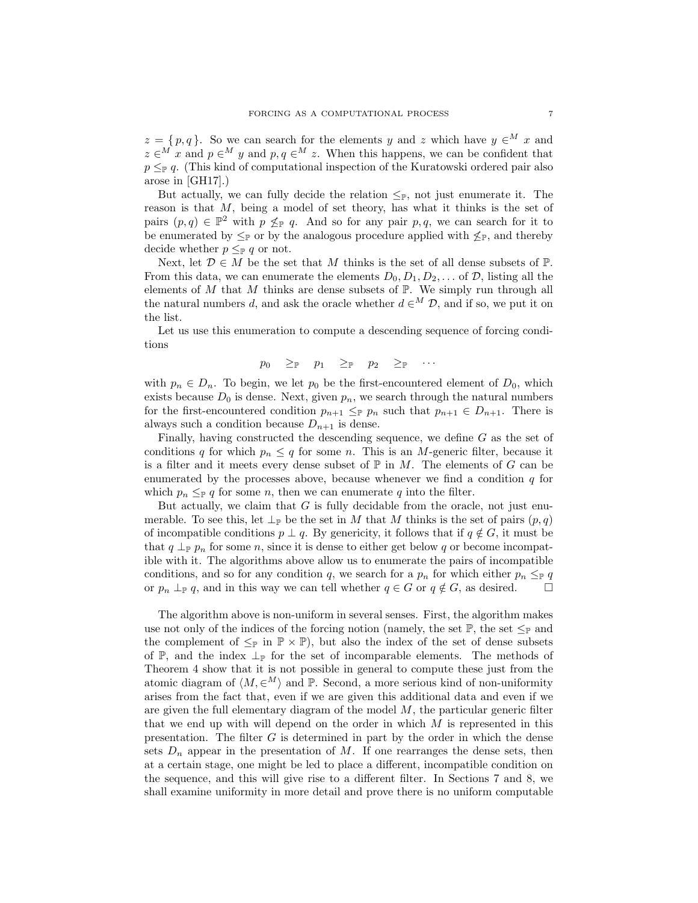$z = \{p, q\}.$  So we can search for the elements y and z which have  $y \in M$  x and  $z \in M$  x and  $p \in M$  y and  $p, q \in M$  z. When this happens, we can be confident that  $p \leq_{\mathbb{P}} q$ . (This kind of computational inspection of the Kuratowski ordered pair also arose in [\[GH17\]](#page-24-2).)

But actually, we can fully decide the relation  $\leq_{\mathbb{P}}$ , not just enumerate it. The reason is that M, being a model of set theory, has what it thinks is the set of pairs  $(p,q) \in \mathbb{P}^2$  with  $p \nleq_{\mathbb{P}} q$ . And so for any pair p, q, we can search for it to be enumerated by  $\leq_{\mathbb{P}}$  or by the analogous procedure applied with  $\nleq_{\mathbb{P}}$ , and thereby decide whether  $p \leq_{\mathbb{P}} q$  or not.

Next, let  $\mathcal{D} \in M$  be the set that M thinks is the set of all dense subsets of  $\mathbb{P}$ . From this data, we can enumerate the elements  $D_0, D_1, D_2, \ldots$  of  $\mathcal{D}$ , listing all the elements of  $M$  that  $M$  thinks are dense subsets of  $\mathbb P$ . We simply run through all the natural numbers d, and ask the oracle whether  $d \in M$  D, and if so, we put it on the list.

Let us use this enumeration to compute a descending sequence of forcing conditions

$$
p_0 \quad \textcolor{black}{\ge_\mathbb{P}} \quad p_1 \quad \textcolor{black}{\ge_\mathbb{P}} \quad p_2 \quad \textcolor{black}{\ge_\mathbb{P}} \quad \cdots
$$

with  $p_n \in D_n$ . To begin, we let  $p_0$  be the first-encountered element of  $D_0$ , which exists because  $D_0$  is dense. Next, given  $p_n$ , we search through the natural numbers for the first-encountered condition  $p_{n+1} \leq p_n$  such that  $p_{n+1} \in D_{n+1}$ . There is always such a condition because  $D_{n+1}$  is dense.

Finally, having constructed the descending sequence, we define G as the set of conditions q for which  $p_n \leq q$  for some n. This is an M-generic filter, because it is a filter and it meets every dense subset of  $\mathbb P$  in M. The elements of G can be enumerated by the processes above, because whenever we find a condition  $q$  for which  $p_n \leq_{\mathbb{P}} q$  for some n, then we can enumerate q into the filter.

But actually, we claim that  $G$  is fully decidable from the oracle, not just enumerable. To see this, let  $\perp_{\mathbb{P}}$  be the set in M that M thinks is the set of pairs  $(p,q)$ of incompatible conditions  $p \perp q$ . By genericity, it follows that if  $q \notin G$ , it must be that  $q \perp_{\mathbb{P}} p_n$  for some n, since it is dense to either get below q or become incompatible with it. The algorithms above allow us to enumerate the pairs of incompatible conditions, and so for any condition q, we search for a  $p_n$  for which either  $p_n \leq_{\mathbb{P}} q$ or  $p_n \perp_{\mathbb{P}} q$ , and in this way we can tell whether  $q \in G$  or  $q \notin G$ , as desired.  $\Box$ 

The algorithm above is non-uniform in several senses. First, the algorithm makes use not only of the indices of the forcing notion (namely, the set  $\mathbb{P}$ , the set  $\leq_{\mathbb{P}}$  and the complement of  $\leq_{\mathbb{P}}$  in  $\mathbb{P} \times \mathbb{P}$ , but also the index of the set of dense subsets of  $\mathbb{P}$ , and the index  $\perp_{\mathbb{P}}$  for the set of incomparable elements. The methods of Theorem [4](#page-2-0) show that it is not possible in general to compute these just from the atomic diagram of  $\langle M, \in^M \rangle$  and P. Second, a more serious kind of non-uniformity arises from the fact that, even if we are given this additional data and even if we are given the full elementary diagram of the model  $M$ , the particular generic filter that we end up with will depend on the order in which  $M$  is represented in this presentation. The filter  $G$  is determined in part by the order in which the dense sets  $D_n$  appear in the presentation of M. If one rearranges the dense sets, then at a certain stage, one might be led to place a different, incompatible condition on the sequence, and this will give rise to a different filter. In Sections [7](#page-17-0) and [8,](#page-19-0) we shall examine uniformity in more detail and prove there is no uniform computable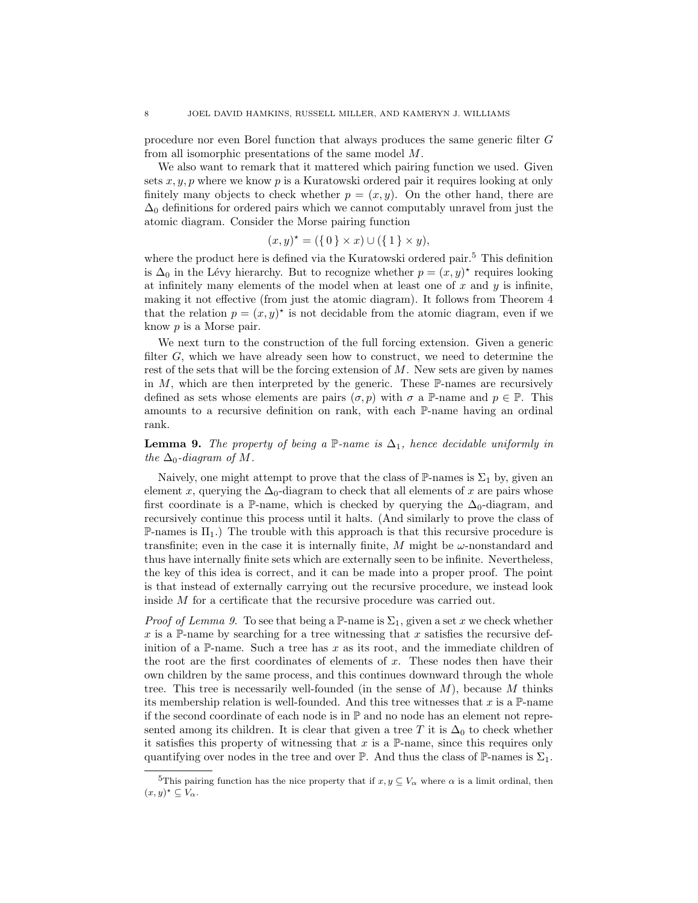procedure nor even Borel function that always produces the same generic filter G from all isomorphic presentations of the same model M.

We also want to remark that it mattered which pairing function we used. Given sets  $x, y, p$  where we know p is a Kuratowski ordered pair it requires looking at only finitely many objects to check whether  $p = (x, y)$ . On the other hand, there are  $\Delta_0$  definitions for ordered pairs which we cannot computably unravel from just the atomic diagram. Consider the Morse pairing function

$$
(x, y)^* = (\{ 0 \} \times x) \cup (\{ 1 \} \times y),
$$

where the product here is defined via the Kuratowski ordered pair.<sup>[5](#page-7-0)</sup> This definition is  $\Delta_0$  in the Lévy hierarchy. But to recognize whether  $p = (x, y)^*$  requires looking at infinitely many elements of the model when at least one of  $x$  and  $y$  is infinite, making it not effective (from just the atomic diagram). It follows from Theorem [4](#page-2-0) that the relation  $p = (x, y)^*$  is not decidable from the atomic diagram, even if we know p is a Morse pair.

We next turn to the construction of the full forcing extension. Given a generic filter G, which we have already seen how to construct, we need to determine the rest of the sets that will be the forcing extension of  $M$ . New sets are given by names in  $M$ , which are then interpreted by the generic. These  $\mathbb{P}\text{-}\text{names}$  are recursively defined as sets whose elements are pairs  $(\sigma, p)$  with  $\sigma$  a P-name and  $p \in \mathbb{P}$ . This amounts to a recursive definition on rank, with each P-name having an ordinal rank.

<span id="page-7-1"></span>**Lemma 9.** The property of being a  $\mathbb{P}$ -name is  $\Delta_1$ , hence decidable uniformly in the  $\Delta_0$ -diagram of M.

Naively, one might attempt to prove that the class of  $\mathbb{P}\text{-names}$  is  $\Sigma_1$  by, given an element x, querying the  $\Delta_0$ -diagram to check that all elements of x are pairs whose first coordinate is a P-name, which is checked by querying the  $\Delta_0$ -diagram, and recursively continue this process until it halts. (And similarly to prove the class of P-names is  $\Pi_1$ .) The trouble with this approach is that this recursive procedure is transfinite; even in the case it is internally finite,  $M$  might be  $\omega$ -nonstandard and thus have internally finite sets which are externally seen to be infinite. Nevertheless, the key of this idea is correct, and it can be made into a proper proof. The point is that instead of externally carrying out the recursive procedure, we instead look inside M for a certificate that the recursive procedure was carried out.

*Proof of Lemma [9.](#page-7-1)* To see that being a P-name is  $\Sigma_1$ , given a set x we check whether x is a P-name by searching for a tree witnessing that x satisfies the recursive definition of a P-name. Such a tree has  $x$  as its root, and the immediate children of the root are the first coordinates of elements of  $x$ . These nodes then have their own children by the same process, and this continues downward through the whole tree. This tree is necessarily well-founded (in the sense of  $M$ ), because  $M$  thinks its membership relation is well-founded. And this tree witnesses that x is a  $\mathbb{P}\text{-name}$ if the second coordinate of each node is in  $\mathbb P$  and no node has an element not represented among its children. It is clear that given a tree T it is  $\Delta_0$  to check whether it satisfies this property of witnessing that  $x$  is a P-name, since this requires only quantifying over nodes in the tree and over P. And thus the class of P-names is  $\Sigma_1$ .

<span id="page-7-0"></span><sup>&</sup>lt;sup>5</sup>This pairing function has the nice property that if  $x, y \subseteq V_\alpha$  where  $\alpha$  is a limit ordinal, then  $(x, y)^{\star} \subseteq V_{\alpha}$ .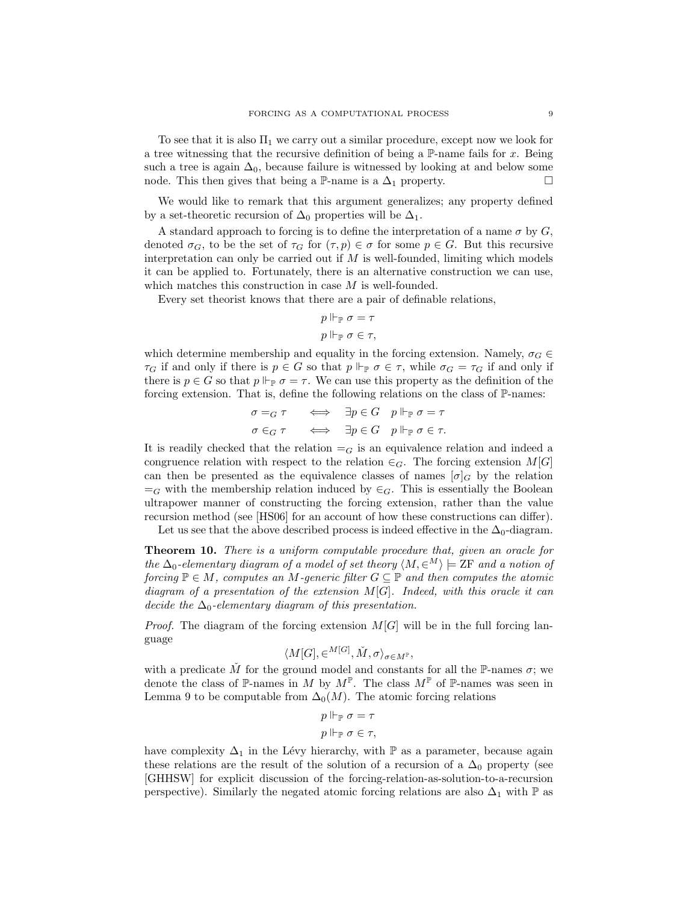To see that it is also  $\Pi_1$  we carry out a similar procedure, except now we look for a tree witnessing that the recursive definition of being a  $\mathbb{P}\text{-name}$  fails for x. Being such a tree is again  $\Delta_0$ , because failure is witnessed by looking at and below some node. This then gives that being a P-name is a  $\Delta_1$  property.  $\Box$ 

We would like to remark that this argument generalizes; any property defined by a set-theoretic recursion of  $\Delta_0$  properties will be  $\Delta_1$ .

A standard approach to forcing is to define the interpretation of a name  $\sigma$  by  $G$ , denoted  $\sigma_G$ , to be the set of  $\tau_G$  for  $(\tau, p) \in \sigma$  for some  $p \in G$ . But this recursive interpretation can only be carried out if  $M$  is well-founded, limiting which models it can be applied to. Fortunately, there is an alternative construction we can use, which matches this construction in case M is well-founded.

Every set theorist knows that there are a pair of definable relations,

$$
p \Vdash_{\mathbb{P}} \sigma = \tau
$$

$$
p \Vdash_{\mathbb{P}} \sigma \in \tau,
$$

which determine membership and equality in the forcing extension. Namely,  $\sigma_G \in$  $\tau_G$  if and only if there is  $p \in G$  so that  $p \Vdash_{\mathbb{P}} \sigma \in \tau$ , while  $\sigma_G = \tau_G$  if and only if there is  $p \in G$  so that  $p \Vdash_{\mathbb{P}} \sigma = \tau$ . We can use this property as the definition of the forcing extension. That is, define the following relations on the class of  $\mathbb{P}\text{-}\text{names:}$ 

$$
\begin{array}{rcl}\n\sigma =_G \tau & \iff & \exists p \in G \quad p \Vdash_{\mathbb{P}} \sigma = \tau \\
\sigma \in_G \tau & \iff & \exists p \in G \quad p \Vdash_{\mathbb{P}} \sigma \in \tau.\n\end{array}
$$

It is readily checked that the relation  $=_G$  is an equivalence relation and indeed a congruence relation with respect to the relation  $\in_G$ . The forcing extension  $M[G]$ can then be presented as the equivalence classes of names  $[\sigma]_G$  by the relation  $=_G$  with the membership relation induced by  $\in_G$ . This is essentially the Boolean ultrapower manner of constructing the forcing extension, rather than the value recursion method (see [\[HS06\]](#page-24-3) for an account of how these constructions can differ).

Let us see that the above described process is indeed effective in the  $\Delta_0$ -diagram.

<span id="page-8-0"></span>Theorem 10. There is a uniform computable procedure that, given an oracle for the  $\Delta_0$ -elementary diagram of a model of set theory  $\langle M, \in^M \rangle \models$  ZF and a notion of forcing  $\mathbb{P} \in M$ , computes an M-generic filter  $G \subseteq \mathbb{P}$  and then computes the atomic diagram of a presentation of the extension  $M[G]$ . Indeed, with this oracle it can decide the  $\Delta_0$ -elementary diagram of this presentation.

*Proof.* The diagram of the forcing extension  $M[G]$  will be in the full forcing language

$$
\langle M[G],\in^{M[G]},\check{M},\sigma\rangle_{\sigma\in M^{\mathbb{P}}},
$$

with a predicate  $\tilde{M}$  for the ground model and constants for all the P-names  $\sigma$ ; we denote the class of  $\mathbb P$ -names in M by  $M^{\mathbb P}$ . The class  $M^{\mathbb P}$  of  $\mathbb P$ -names was seen in Lemma [9](#page-7-1) to be computable from  $\Delta_0(M)$ . The atomic forcing relations

$$
p \Vdash_{\mathbb{P}} \sigma = \tau
$$

$$
p \Vdash_{\mathbb{P}} \sigma \in \tau,
$$

have complexity  $\Delta_1$  in the Lévy hierarchy, with  $\mathbb P$  as a parameter, because again these relations are the result of the solution of a recursion of a  $\Delta_0$  property (see [\[GHHSW\]](#page-24-4) for explicit discussion of the forcing-relation-as-solution-to-a-recursion perspective). Similarly the negated atomic forcing relations are also  $\Delta_1$  with  $\mathbb P$  as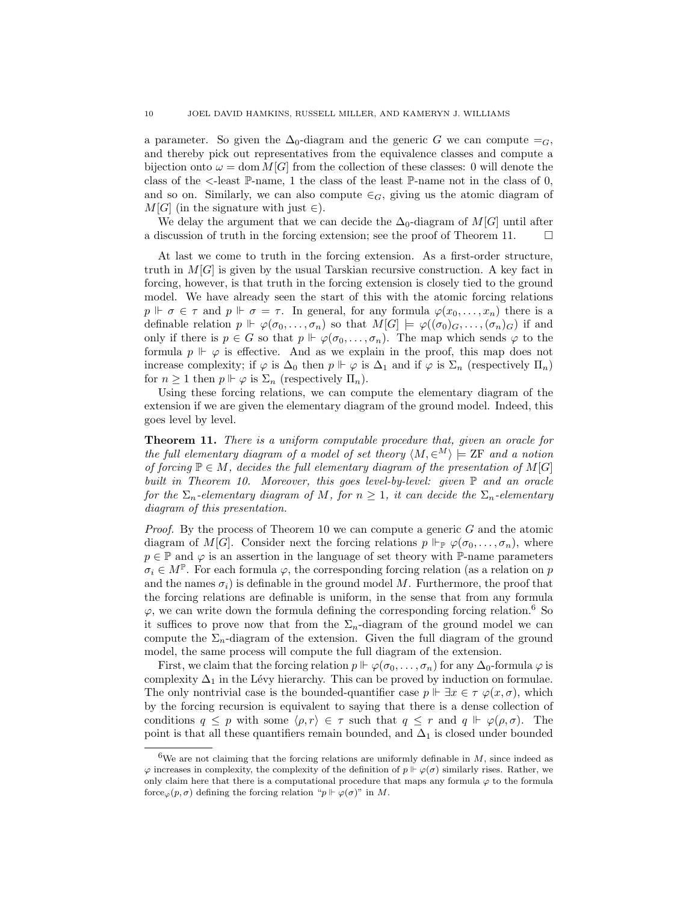a parameter. So given the  $\Delta_0$ -diagram and the generic G we can compute  $=_G$ , and thereby pick out representatives from the equivalence classes and compute a bijection onto  $\omega = \text{dom } M[G]$  from the collection of these classes: 0 will denote the class of the  $\le$ -least  $\mathbb{P}\text{-name}$ , 1 the class of the least  $\mathbb{P}\text{-name}$  not in the class of 0, and so on. Similarly, we can also compute  $\in_G$ , giving us the atomic diagram of  $M[G]$  (in the signature with just  $\in$ ).

We delay the argument that we can decide the  $\Delta_0$ -diagram of  $M[G]$  until after a discussion of truth in the forcing extension; see the proof of Theorem [11.](#page-9-0)  $\Box$ 

At last we come to truth in the forcing extension. As a first-order structure, truth in  $M[G]$  is given by the usual Tarskian recursive construction. A key fact in forcing, however, is that truth in the forcing extension is closely tied to the ground model. We have already seen the start of this with the atomic forcing relations  $p \Vdash \sigma \in \tau$  and  $p \Vdash \sigma = \tau$ . In general, for any formula  $\varphi(x_0, \ldots, x_n)$  there is a definable relation  $p \Vdash \varphi(\sigma_0,\ldots,\sigma_n)$  so that  $M[G] \models \varphi((\sigma_0)_G,\ldots,(\sigma_n)_G)$  if and only if there is  $p \in G$  so that  $p \Vdash \varphi(\sigma_0, \ldots, \sigma_n)$ . The map which sends  $\varphi$  to the formula  $p \Vdash \varphi$  is effective. And as we explain in the proof, this map does not increase complexity; if  $\varphi$  is  $\Delta_0$  then  $p \Vdash \varphi$  is  $\Delta_1$  and if  $\varphi$  is  $\Sigma_n$  (respectively  $\Pi_n$ ) for  $n \geq 1$  then  $p \Vdash \varphi$  is  $\Sigma_n$  (respectively  $\Pi_n$ ).

Using these forcing relations, we can compute the elementary diagram of the extension if we are given the elementary diagram of the ground model. Indeed, this goes level by level.

<span id="page-9-0"></span>Theorem 11. There is a uniform computable procedure that, given an oracle for the full elementary diagram of a model of set theory  $\langle M, \in^M \rangle \models$  ZF and a notion of forcing  $\mathbb{P} \in M$ , decides the full elementary diagram of the presentation of  $M[G]$ built in Theorem [10.](#page-8-0) Moreover, this goes level-by-level: given  $\mathbb P$  and an oracle for the  $\Sigma_n$ -elementary diagram of M, for  $n \geq 1$ , it can decide the  $\Sigma_n$ -elementary diagram of this presentation.

*Proof.* By the process of Theorem [10](#page-8-0) we can compute a generic  $G$  and the atomic diagram of M[G]. Consider next the forcing relations  $p \Vdash_{\mathbb{P}} \varphi(\sigma_0, \ldots, \sigma_n)$ , where  $p \in \mathbb{P}$  and  $\varphi$  is an assertion in the language of set theory with  $\mathbb{P}\text{-name parameters}$  $\sigma_i \in M^{\mathbb{P}}$ . For each formula  $\varphi$ , the corresponding forcing relation (as a relation on p and the names  $\sigma_i$ ) is definable in the ground model M. Furthermore, the proof that the forcing relations are definable is uniform, in the sense that from any formula  $\varphi$ , we can write down the formula defining the corresponding forcing relation.<sup>[6](#page-9-1)</sup> So it suffices to prove now that from the  $\Sigma_n$ -diagram of the ground model we can compute the  $\Sigma_n$ -diagram of the extension. Given the full diagram of the ground model, the same process will compute the full diagram of the extension.

First, we claim that the forcing relation  $p \Vdash \varphi(\sigma_0, \ldots, \sigma_n)$  for any  $\Delta_0$ -formula  $\varphi$  is complexity  $\Delta_1$  in the Lévy hierarchy. This can be proved by induction on formulae. The only nontrivial case is the bounded-quantifier case  $p \Vdash \exists x \in \tau \varphi(x, \sigma)$ , which by the forcing recursion is equivalent to saying that there is a dense collection of conditions  $q \leq p$  with some  $\langle \rho, r \rangle \in \tau$  such that  $q \leq r$  and  $q \Vdash \varphi(\rho, \sigma)$ . The point is that all these quantifiers remain bounded, and  $\Delta_1$  is closed under bounded

<span id="page-9-1"></span><sup>&</sup>lt;sup>6</sup>We are not claiming that the forcing relations are uniformly definable in  $M$ , since indeed as  $\varphi$  increases in complexity, the complexity of the definition of  $p \Vdash \varphi(\sigma)$  similarly rises. Rather, we only claim here that there is a computational procedure that maps any formula  $\varphi$  to the formula force<sub> $\varphi(p, \sigma)$ </sub> defining the forcing relation " $p \Vdash \varphi(\sigma)$ " in M.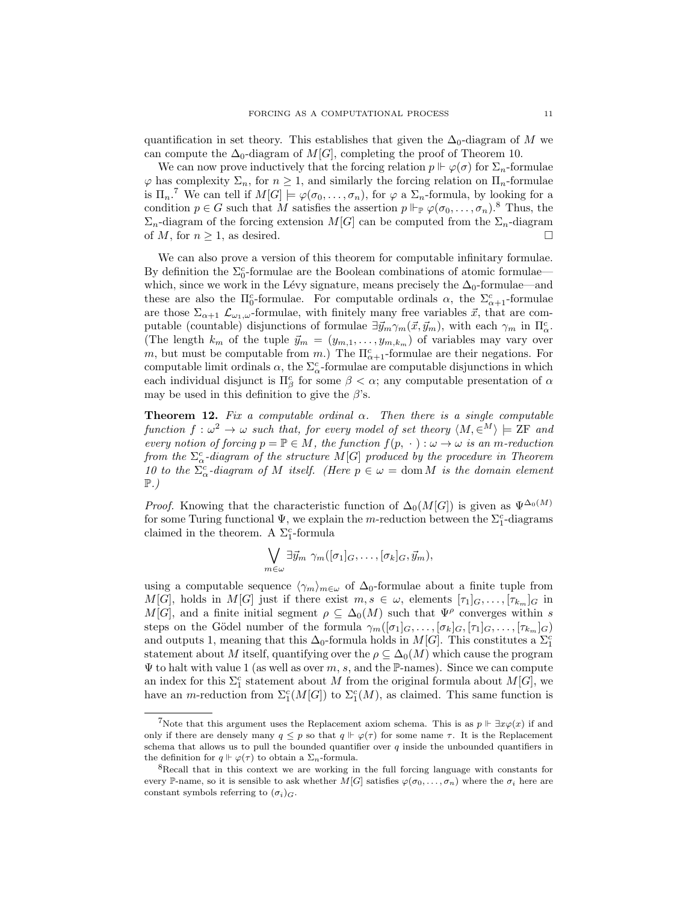quantification in set theory. This establishes that given the  $\Delta_0$ -diagram of M we can compute the  $\Delta_0$ -diagram of  $M[G]$ , completing the proof of Theorem [10.](#page-8-0)

We can now prove inductively that the forcing relation  $p \Vdash \varphi(\sigma)$  for  $\Sigma_n$ -formulae  $\varphi$  has complexity  $\Sigma_n$ , for  $n \geq 1$ , and similarly the forcing relation on  $\Pi_n$ -formulae is  $\Pi_n$ .<sup>[7](#page-10-0)</sup> We can tell if  $M[G] \models \varphi(\sigma_0,\ldots,\sigma_n)$ , for  $\varphi$  a  $\Sigma_n$ -formula, by looking for a condition  $p \in G$  such that M satisfies the assertion  $p \Vdash_{\mathbb{P}} \varphi(\sigma_0, \ldots, \sigma_n)$ .<sup>[8](#page-10-1)</sup> Thus, the  $\Sigma_n$ -diagram of the forcing extension  $M[G]$  can be computed from the  $\Sigma_n$ -diagram of M, for  $n \geq 1$ , as desired.

We can also prove a version of this theorem for computable infinitary formulae. By definition the  $\Sigma_0^c$ -formulae are the Boolean combinations of atomic formulae which, since we work in the Lévy signature, means precisely the  $\Delta_0$ -formulae—and these are also the  $\Pi_0^c$ -formulae. For computable ordinals  $\alpha$ , the  $\Sigma_{\alpha+1}^c$ -formulae are those  $\Sigma_{\alpha+1}$   $\mathcal{L}_{\omega_1,\omega}$ -formulae, with finitely many free variables  $\vec{x}$ , that are computable (countable) disjunctions of formulae  $\exists \vec{y}_m \gamma_m(\vec{x}, \vec{y}_m)$ , with each  $\gamma_m$  in  $\Pi^c_\alpha$ . (The length  $k_m$  of the tuple  $\vec{y}_m = (y_{m,1}, \ldots, y_{m,k_m})$  of variables may vary over m, but must be computable from m.) The  $\Pi_{\alpha+1}^c$ -formulae are their negations. For computable limit ordinals  $\alpha$ , the  $\Sigma^c_\alpha$ -formulae are computable disjunctions in which each individual disjunct is  $\Pi^c_\beta$  for some  $\beta < \alpha$ ; any computable presentation of  $\alpha$ may be used in this definition to give the  $\beta$ 's.

**Theorem 12.** Fix a computable ordinal  $\alpha$ . Then there is a single computable function  $f: \omega^2 \to \omega$  such that, for every model of set theory  $\langle M, \in^M \rangle \models \text{ZF}$  and every notion of forcing  $p = \mathbb{P} \in M$ , the function  $f(p, \cdot) : \omega \to \omega$  is an m-reduction from the  $\Sigma_{\alpha}^c$ -diagram of the structure  $M[G]$  produced by the procedure in Theorem [10](#page-8-0) to the  $\Sigma_{\alpha}^{c}$ -diagram of M itself. (Here  $p \in \omega = \text{dom } M$  is the domain element  $\mathbb{P}$ .)

*Proof.* Knowing that the characteristic function of  $\Delta_0(M[G])$  is given as  $\Psi^{\Delta_0(M)}$ for some Turing functional  $\Psi$ , we explain the m-reduction between the  $\Sigma_1^c$ -diagrams claimed in the theorem. A  $\Sigma_1^c$ -formula

$$
\bigvee_{m \in \omega} \exists \vec{y}_m \ \gamma_m([\sigma_1]_G, \ldots, [\sigma_k]_G, \vec{y}_m),
$$

using a computable sequence  $\langle \gamma_m \rangle_{m \in \omega}$  of  $\Delta_0$ -formulae about a finite tuple from M[G], holds in M[G] just if there exist  $m, s \in \omega$ , elements  $[\tau_1]_G, \ldots, [\tau_{k_m}]_G$  in  $M[G]$ , and a finite initial segment  $\rho \subseteq \Delta_0(M)$  such that  $\Psi^{\rho}$  converges within s steps on the Gödel number of the formula  $\gamma_m([\sigma_1]_G,\ldots,[\sigma_k]_G,[\tau_1]_G,\ldots,[\tau_{k_m}]_G)$ and outputs 1, meaning that this  $\Delta_0$ -formula holds in  $M[G]$ . This constitutes a  $\Sigma_1^c$ statement about M itself, quantifying over the  $\rho \subseteq \Delta_0(M)$  which cause the program  $\Psi$  to halt with value 1 (as well as over m, s, and the P-names). Since we can compute an index for this  $\Sigma_1^c$  statement about M from the original formula about  $M[G]$ , we have an *m*-reduction from  $\Sigma_1^c(M[G])$  to  $\Sigma_1^c(M)$ , as claimed. This same function is

<span id="page-10-0"></span><sup>&</sup>lt;sup>7</sup>Note that this argument uses the Replacement axiom schema. This is as  $p \Vdash \exists x \varphi(x)$  if and only if there are densely many  $q \leq p$  so that  $q \Vdash \varphi(\tau)$  for some name  $\tau$ . It is the Replacement schema that allows us to pull the bounded quantifier over  $q$  inside the unbounded quantifiers in the definition for  $q \Vdash \varphi(\tau)$  to obtain a  $\Sigma_n$ -formula.

<span id="page-10-1"></span><sup>8</sup>Recall that in this context we are working in the full forcing language with constants for every P-name, so it is sensible to ask whether  $M[G]$  satisfies  $\varphi(\sigma_0,\ldots,\sigma_n)$  where the  $\sigma_i$  here are constant symbols referring to  $(\sigma_i)_{G}$ .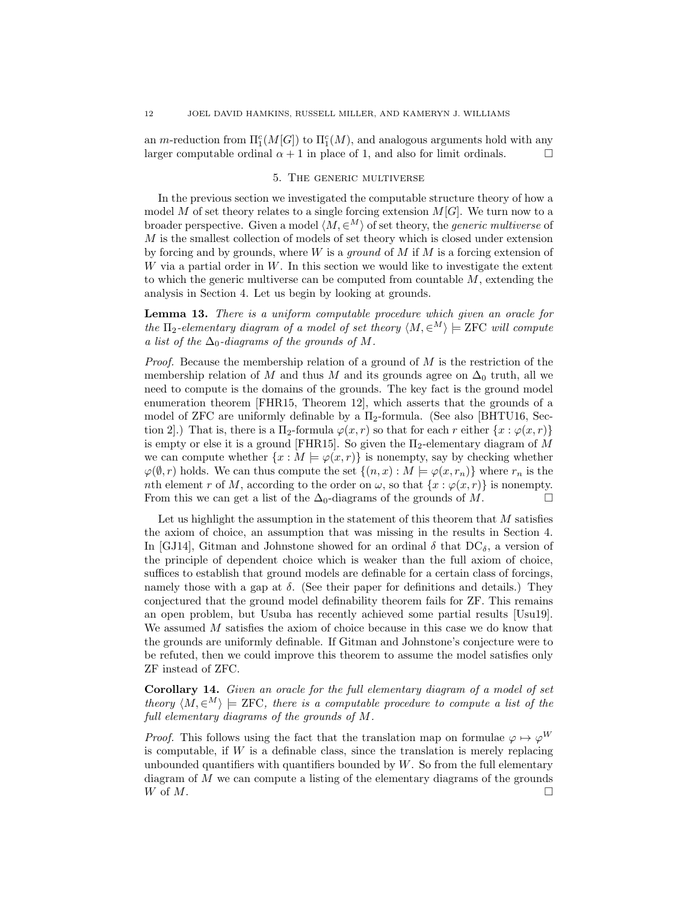an *m*-reduction from  $\Pi_1^c(M[G])$  to  $\Pi_1^c(M)$ , and analogous arguments hold with any larger computable ordinal  $\alpha + 1$  in place of 1, and also for limit ordinals.

### 5. The generic multiverse

<span id="page-11-0"></span>In the previous section we investigated the computable structure theory of how a model M of set theory relates to a single forcing extension  $M[G]$ . We turn now to a broader perspective. Given a model  $\langle M, \in^M \rangle$  of set theory, the *generic multiverse* of  $M$  is the smallest collection of models of set theory which is closed under extension by forcing and by grounds, where  $W$  is a *ground* of  $M$  if  $M$  is a forcing extension of W via a partial order in  $W$ . In this section we would like to investigate the extent to which the generic multiverse can be computed from countable  $M$ , extending the analysis in Section [4.](#page-4-0) Let us begin by looking at grounds.

Lemma 13. There is a uniform computable procedure which given an oracle for the  $\Pi_2$ -elementary diagram of a model of set theory  $\langle M, \in^M \rangle \models$  ZFC will compute a list of the  $\Delta_0$ -diagrams of the grounds of M.

*Proof.* Because the membership relation of a ground of  $M$  is the restriction of the membership relation of M and thus M and its grounds agree on  $\Delta_0$  truth, all we need to compute is the domains of the grounds. The key fact is the ground model enumeration theorem [\[FHR15,](#page-24-5) Theorem 12], which asserts that the grounds of a model of ZFC are uniformly definable by a  $\Pi_2$ -formula. (See also [\[BHTU16,](#page-23-1) Section 2. That is, there is a  $\Pi_2$ -formula  $\varphi(x, r)$  so that for each r either  $\{x : \varphi(x, r)\}\$ is empty or else it is a ground [\[FHR15\]](#page-24-5). So given the  $\Pi_2$ -elementary diagram of M we can compute whether  $\{x : M \models \varphi(x, r)\}\$ is nonempty, say by checking whether  $\varphi(\emptyset, r)$  holds. We can thus compute the set  $\{(n, x) : M \models \varphi(x, r_n)\}\$  where  $r_n$  is the nth element r of M, according to the order on  $\omega$ , so that  $\{x : \varphi(x, r)\}$  is nonempty. From this we can get a list of the  $\Delta_0$ -diagrams of the grounds of M.

Let us highlight the assumption in the statement of this theorem that  $M$  satisfies the axiom of choice, an assumption that was missing in the results in Section [4.](#page-4-0) In [\[GJ14\]](#page-24-6), Gitman and Johnstone showed for an ordinal  $\delta$  that DC<sub> $\delta$ </sub>, a version of the principle of dependent choice which is weaker than the full axiom of choice, suffices to establish that ground models are definable for a certain class of forcings, namely those with a gap at  $\delta$ . (See their paper for definitions and details.) They conjectured that the ground model definability theorem fails for ZF. This remains an open problem, but Usuba has recently achieved some partial results [\[Usu19\]](#page-25-2). We assumed M satisfies the axiom of choice because in this case we do know that the grounds are uniformly definable. If Gitman and Johnstone's conjecture were to be refuted, then we could improve this theorem to assume the model satisfies only ZF instead of ZFC.

<span id="page-11-1"></span>Corollary 14. Given an oracle for the full elementary diagram of a model of set theory  $\langle M, \in^M \rangle \models$  ZFC, there is a computable procedure to compute a list of the full elementary diagrams of the grounds of M.

*Proof.* This follows using the fact that the translation map on formulae  $\varphi \mapsto \varphi^W$ is computable, if  $W$  is a definable class, since the translation is merely replacing unbounded quantifiers with quantifiers bounded by  $W$ . So from the full elementary diagram of M we can compute a listing of the elementary diagrams of the grounds W of  $M$ .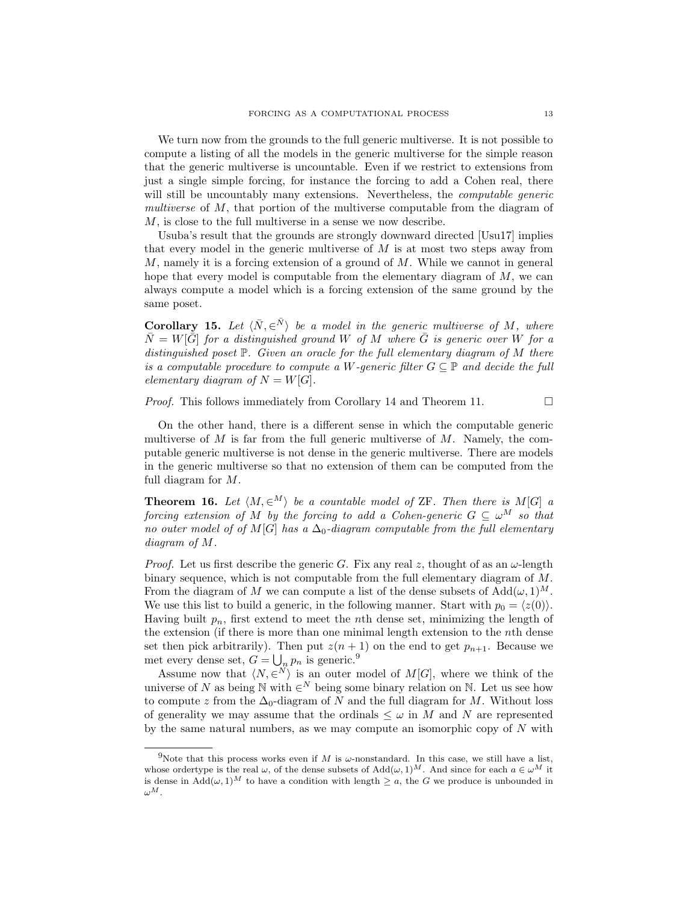We turn now from the grounds to the full generic multiverse. It is not possible to compute a listing of all the models in the generic multiverse for the simple reason that the generic multiverse is uncountable. Even if we restrict to extensions from just a single simple forcing, for instance the forcing to add a Cohen real, there will still be uncountably many extensions. Nevertheless, the *computable generic* multiverse of M, that portion of the multiverse computable from the diagram of M, is close to the full multiverse in a sense we now describe.

Usuba's result that the grounds are strongly downward directed [\[Usu17\]](#page-25-3) implies that every model in the generic multiverse of  $M$  is at most two steps away from  $M$ , namely it is a forcing extension of a ground of  $M$ . While we cannot in general hope that every model is computable from the elementary diagram of  $M$ , we can always compute a model which is a forcing extension of the same ground by the same poset.

**Corollary 15.** Let  $\langle \bar{N}, \in \bar{N} \rangle$  be a model in the generic multiverse of M, where  $\bar{N} = W[\bar{G}]$  for a distinguished ground W of M where  $\bar{G}$  is generic over W for a distinguished poset  $\mathbb{P}$ . Given an oracle for the full elementary diagram of M there is a computable procedure to compute a W-generic filter  $G \subseteq \mathbb{P}$  and decide the full elementary diagram of  $N = W[G]$ .

*Proof.* This follows immediately from Corollary [14](#page-11-1) and Theorem [11.](#page-9-0)  $\Box$ 

On the other hand, there is a different sense in which the computable generic multiverse of  $M$  is far from the full generic multiverse of  $M$ . Namely, the computable generic multiverse is not dense in the generic multiverse. There are models in the generic multiverse so that no extension of them can be computed from the full diagram for M.

**Theorem 16.** Let  $\langle M, \in^M \rangle$  be a countable model of ZF. Then there is  $M[G]$  a forcing extension of M by the forcing to add a Cohen-generic  $G \subseteq \omega^M$  so that no outer model of of M[G] has a  $\Delta_0$ -diagram computable from the full elementary diagram of M.

*Proof.* Let us first describe the generic G. Fix any real z, thought of as an  $\omega$ -length binary sequence, which is not computable from the full elementary diagram of M. From the diagram of M we can compute a list of the dense subsets of  $Add(\omega, 1)^M$ . We use this list to build a generic, in the following manner. Start with  $p_0 = \langle z(0) \rangle$ . Having built  $p_n$ , first extend to meet the nth dense set, minimizing the length of the extension (if there is more than one minimal length extension to the nth dense set then pick arbitrarily). Then put  $z(n + 1)$  on the end to get  $p_{n+1}$ . Because we met every dense set,  $G = \bigcup_n p_n$  is generic.<sup>[9](#page-12-0)</sup>

Assume now that  $\langle N, \in^{N} \rangle$  is an outer model of  $M[G]$ , where we think of the universe of N as being  $\mathbb N$  with  $\in^N$  being some binary relation on  $\mathbb N$ . Let us see how to compute z from the  $\Delta_0$ -diagram of N and the full diagram for M. Without loss of generality we may assume that the ordinals  $\leq \omega$  in M and N are represented by the same natural numbers, as we may compute an isomorphic copy of  $N$  with

<span id="page-12-0"></span><sup>&</sup>lt;sup>9</sup>Note that this process works even if M is  $\omega$ -nonstandard. In this case, we still have a list, whose ordertype is the real  $\omega$ , of the dense subsets of  $Add(\omega, 1)^M$ . And since for each  $a \in \omega^M$  it is dense in  $\text{Add}(\omega, 1)^M$  to have a condition with length  $\geq a$ , the G we produce is unbounded in  $\omega^M$ .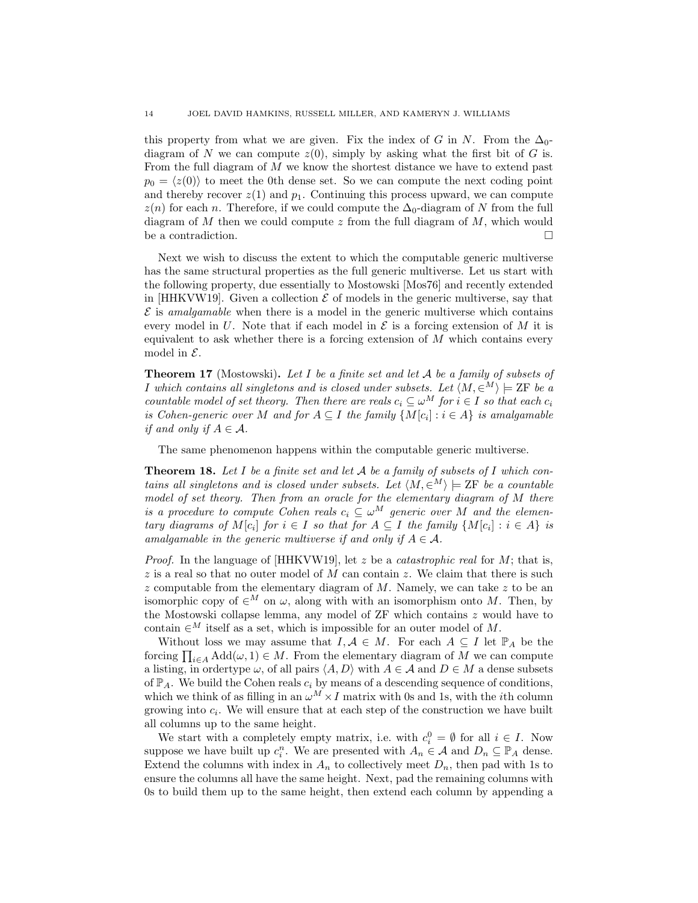this property from what we are given. Fix the index of G in N. From the  $\Delta_0$ diagram of N we can compute  $z(0)$ , simply by asking what the first bit of G is. From the full diagram of M we know the shortest distance we have to extend past  $p_0 = \langle z(0) \rangle$  to meet the 0th dense set. So we can compute the next coding point and thereby recover  $z(1)$  and  $p_1$ . Continuing this process upward, we can compute  $z(n)$  for each n. Therefore, if we could compute the  $\Delta_0$ -diagram of N from the full diagram of  $M$  then we could compute  $z$  from the full diagram of  $M$ , which would be a contradiction.  $\Box$ 

Next we wish to discuss the extent to which the computable generic multiverse has the same structural properties as the full generic multiverse. Let us start with the following property, due essentially to Mostowski [\[Mos76\]](#page-25-4) and recently extended in [\[HHKVW19\]](#page-24-7). Given a collection  $\mathcal E$  of models in the generic multiverse, say that  $\mathcal E$  is amalgamable when there is a model in the generic multiverse which contains every model in U. Note that if each model in  $\mathcal E$  is a forcing extension of M it is equivalent to ask whether there is a forcing extension of  $M$  which contains every model in  $\mathcal{E}$ .

**Theorem 17** (Mostowski). Let I be a finite set and let  $A$  be a family of subsets of I which contains all singletons and is closed under subsets. Let  $\langle M, \in^M \rangle \models$  ZF be a countable model of set theory. Then there are reals  $c_i \subseteq \omega^M$  for  $i \in I$  so that each  $c_i$ is Cohen-generic over M and for  $A \subseteq I$  the family  $\{M[c_i] : i \in A\}$  is amalgamable if and only if  $A \in \mathcal{A}$ .

The same phenomenon happens within the computable generic multiverse.

**Theorem 18.** Let  $I$  be a finite set and let  $A$  be a family of subsets of  $I$  which contains all singletons and is closed under subsets. Let  $\langle M, \in^M \rangle \models$  ZF be a countable model of set theory. Then from an oracle for the elementary diagram of M there is a procedure to compute Cohen reals  $c_i \subseteq \omega^M$  generic over M and the elementary diagrams of  $M[c_i]$  for  $i \in I$  so that for  $A \subseteq I$  the family  $\{M[c_i] : i \in A\}$  is amalgamable in the generic multiverse if and only if  $A \in \mathcal{A}$ .

*Proof.* In the language of [\[HHKVW19\]](#page-24-7), let z be a *catastrophic real* for M; that is,  $z$  is a real so that no outer model of M can contain z. We claim that there is such  $z$  computable from the elementary diagram of  $M$ . Namely, we can take  $z$  to be an isomorphic copy of  $\in^M$  on  $\omega$ , along with with an isomorphism onto M. Then, by the Mostowski collapse lemma, any model of ZF which contains z would have to contain  $\in^M$  itself as a set, which is impossible for an outer model of M.

Without loss we may assume that  $I, A \in M$ . For each  $A \subseteq I$  let  $\mathbb{P}_A$  be the forcing  $\prod_{i\in A} \text{Add}(\omega, 1) \in M$ . From the elementary diagram of M we can compute a listing, in order<br>type  $\omega$ , of all pairs  $\langle A, D \rangle$  with  $A \in \mathcal{A}$  and  $D \in M$  a dense subsets of  $\mathbb{P}_A$ . We build the Cohen reals  $c_i$  by means of a descending sequence of conditions, which we think of as filling in an  $\omega^M \times I$  matrix with 0s and 1s, with the *i*th column growing into  $c_i$ . We will ensure that at each step of the construction we have built all columns up to the same height.

We start with a completely empty matrix, i.e. with  $c_i^0 = \emptyset$  for all  $i \in I$ . Now suppose we have built up  $c_i^n$ . We are presented with  $A_n \in \mathcal{A}$  and  $D_n \subseteq \mathbb{P}_A$  dense. Extend the columns with index in  $A_n$  to collectively meet  $D_n$ , then pad with 1s to ensure the columns all have the same height. Next, pad the remaining columns with 0s to build them up to the same height, then extend each column by appending a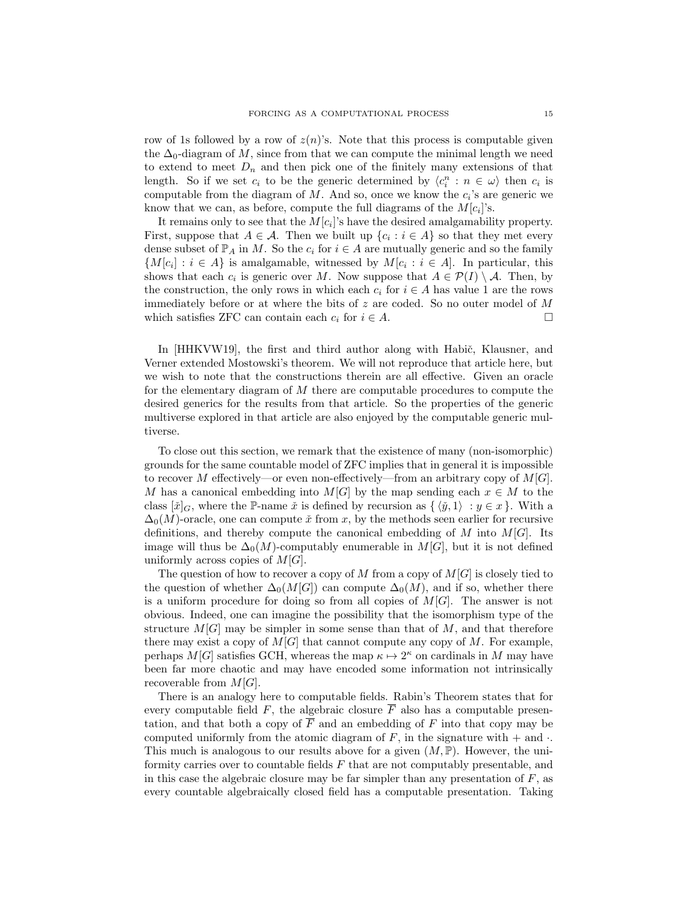row of 1s followed by a row of  $z(n)$ 's. Note that this process is computable given the  $\Delta_0$ -diagram of M, since from that we can compute the minimal length we need to extend to meet  $D_n$  and then pick one of the finitely many extensions of that length. So if we set  $c_i$  to be the generic determined by  $\langle c_i^n : n \in \omega \rangle$  then  $c_i$  is computable from the diagram of  $M$ . And so, once we know the  $c_i$ 's are generic we know that we can, as before, compute the full diagrams of the  $M[c_i]$ 's.

It remains only to see that the  $M[c_i]$ 's have the desired amalgamability property. First, suppose that  $A \in \mathcal{A}$ . Then we built up  $\{c_i : i \in A\}$  so that they met every dense subset of  $\mathbb{P}_A$  in M. So the  $c_i$  for  $i \in A$  are mutually generic and so the family  ${M[c_i] : i \in A}$  is amalgamable, witnessed by  $M[c_i : i \in A]$ . In particular, this shows that each  $c_i$  is generic over M. Now suppose that  $A \in \mathcal{P}(I) \setminus \mathcal{A}$ . Then, by the construction, the only rows in which each  $c_i$  for  $i \in A$  has value 1 are the rows immediately before or at where the bits of z are coded. So no outer model of  $M$ which satisfies ZFC can contain each  $c_i$  for  $i \in A$ .

In [\[HHKVW19\]](#page-24-7), the first and third author along with Habič, Klausner, and Verner extended Mostowski's theorem. We will not reproduce that article here, but we wish to note that the constructions therein are all effective. Given an oracle for the elementary diagram of M there are computable procedures to compute the desired generics for the results from that article. So the properties of the generic multiverse explored in that article are also enjoyed by the computable generic multiverse.

To close out this section, we remark that the existence of many (non-isomorphic) grounds for the same countable model of ZFC implies that in general it is impossible to recover M effectively—or even non-effectively—from an arbitrary copy of  $M[G]$ . M has a canonical embedding into  $M[G]$  by the map sending each  $x \in M$  to the class  $[\check{x}]_G$ , where the P-name  $\check{x}$  is defined by recursion as  $\{\langle \check{y}, 1 \rangle : y \in x\}$ . With a  $\Delta_0(M)$ -oracle, one can compute  $\check{x}$  from x, by the methods seen earlier for recursive definitions, and thereby compute the canonical embedding of M into  $M[G]$ . Its image will thus be  $\Delta_0(M)$ -computably enumerable in  $M[G]$ , but it is not defined uniformly across copies of  $M[G]$ .

The question of how to recover a copy of M from a copy of  $M[G]$  is closely tied to the question of whether  $\Delta_0(M[G])$  can compute  $\Delta_0(M)$ , and if so, whether there is a uniform procedure for doing so from all copies of  $M[G]$ . The answer is not obvious. Indeed, one can imagine the possibility that the isomorphism type of the structure  $M[G]$  may be simpler in some sense than that of M, and that therefore there may exist a copy of  $M[G]$  that cannot compute any copy of M. For example, perhaps  $M[G]$  satisfies GCH, whereas the map  $\kappa \mapsto 2^{\kappa}$  on cardinals in M may have been far more chaotic and may have encoded some information not intrinsically recoverable from  $M[G]$ .

There is an analogy here to computable fields. Rabin's Theorem states that for every computable field F, the algebraic closure  $\overline{F}$  also has a computable presentation, and that both a copy of  $\overline{F}$  and an embedding of F into that copy may be computed uniformly from the atomic diagram of  $F$ , in the signature with  $+$  and  $\cdot$ . This much is analogous to our results above for a given  $(M, \mathbb{P})$ . However, the uniformity carries over to countable fields F that are not computably presentable, and in this case the algebraic closure may be far simpler than any presentation of  $F$ , as every countable algebraically closed field has a computable presentation. Taking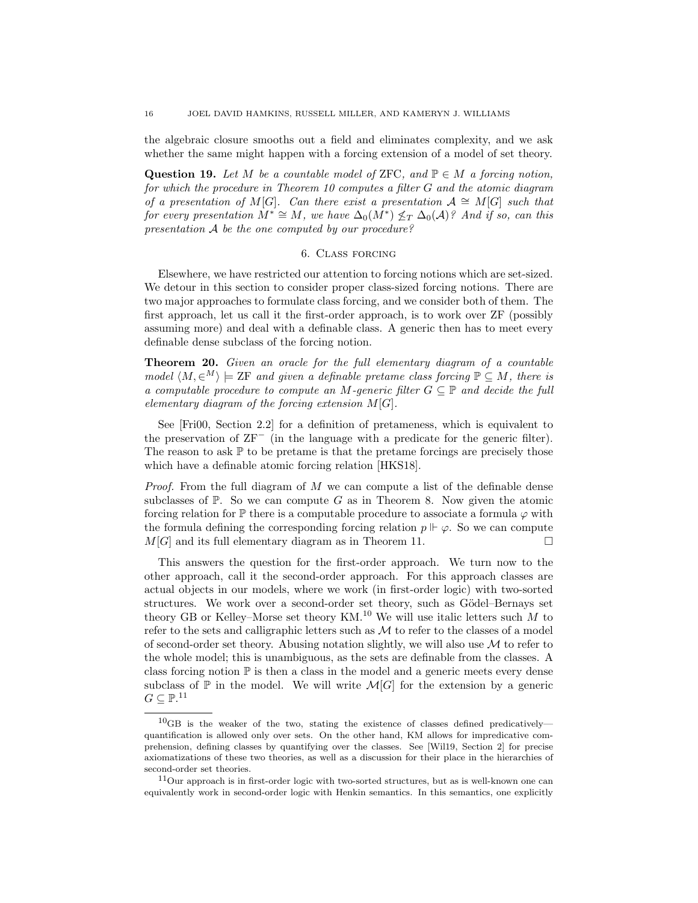the algebraic closure smooths out a field and eliminates complexity, and we ask whether the same might happen with a forcing extension of a model of set theory.

Question 19. Let M be a countable model of ZFC, and  $\mathbb{P} \in M$  a forcing notion, for which the procedure in Theorem [10](#page-8-0) computes a filter G and the atomic diagram of a presentation of M[G]. Can there exist a presentation  $\mathcal{A} \cong M[G]$  such that for every presentation  $\dot{M}^* \cong M$ , we have  $\Delta_0(\dot{M}^*) \nleq_T \Delta_0(\mathcal{A})$ ? And if so, can this presentation A be the one computed by our procedure?

### 6. Class forcing

<span id="page-15-0"></span>Elsewhere, we have restricted our attention to forcing notions which are set-sized. We detour in this section to consider proper class-sized forcing notions. There are two major approaches to formulate class forcing, and we consider both of them. The first approach, let us call it the first-order approach, is to work over ZF (possibly assuming more) and deal with a definable class. A generic then has to meet every definable dense subclass of the forcing notion.

Theorem 20. Given an oracle for the full elementary diagram of a countable model  $\langle M, \in^M \rangle \models$  ZF and given a definable pretame class forcing  $\mathbb{P} \subseteq M$ , there is a computable procedure to compute an M-generic filter  $G \subseteq \mathbb{P}$  and decide the full elementary diagram of the forcing extension  $M[G]$ .

See [\[Fri00,](#page-24-8) Section 2.2] for a definition of pretameness, which is equivalent to the preservation of  $ZF^-$  (in the language with a predicate for the generic filter). The reason to ask  $\mathbb P$  to be pretame is that the pretame forcings are precisely those which have a definable atomic forcing relation [\[HKS18\]](#page-24-9).

*Proof.* From the full diagram of  $M$  we can compute a list of the definable dense subclasses of  $\mathbb{P}$ . So we can compute G as in Theorem [8.](#page-5-0) Now given the atomic forcing relation for  $\mathbb P$  there is a computable procedure to associate a formula  $\varphi$  with the formula defining the corresponding forcing relation  $p \Vdash \varphi$ . So we can compute  $M[G]$  and its full elementary diagram as in Theorem [11.](#page-9-0)

This answers the question for the first-order approach. We turn now to the other approach, call it the second-order approach. For this approach classes are actual objects in our models, where we work (in first-order logic) with two-sorted structures. We work over a second-order set theory, such as Gödel–Bernays set theory GB or Kelley–Morse set theory KM.<sup>[10](#page-15-1)</sup> We will use italic letters such  $M$  to refer to the sets and calligraphic letters such as  $M$  to refer to the classes of a model of second-order set theory. Abusing notation slightly, we will also use  $\mathcal M$  to refer to the whole model; this is unambiguous, as the sets are definable from the classes. A class forcing notion  $\mathbb P$  is then a class in the model and a generic meets every dense subclass of  $\mathbb P$  in the model. We will write  $\mathcal M[G]$  for the extension by a generic  $G \subseteq \mathbb{P}.^{11}$  $G \subseteq \mathbb{P}.^{11}$  $G \subseteq \mathbb{P}.^{11}$ 

<span id="page-15-1"></span> $^{10}$ GB is the weaker of the two, stating the existence of classes defined predicatively quantification is allowed only over sets. On the other hand, KM allows for impredicative comprehension, defining classes by quantifying over the classes. See [\[Wil19,](#page-25-5) Section 2] for precise axiomatizations of these two theories, as well as a discussion for their place in the hierarchies of second-order set theories.

<span id="page-15-2"></span> $11$ Our approach is in first-order logic with two-sorted structures, but as is well-known one can equivalently work in second-order logic with Henkin semantics. In this semantics, one explicitly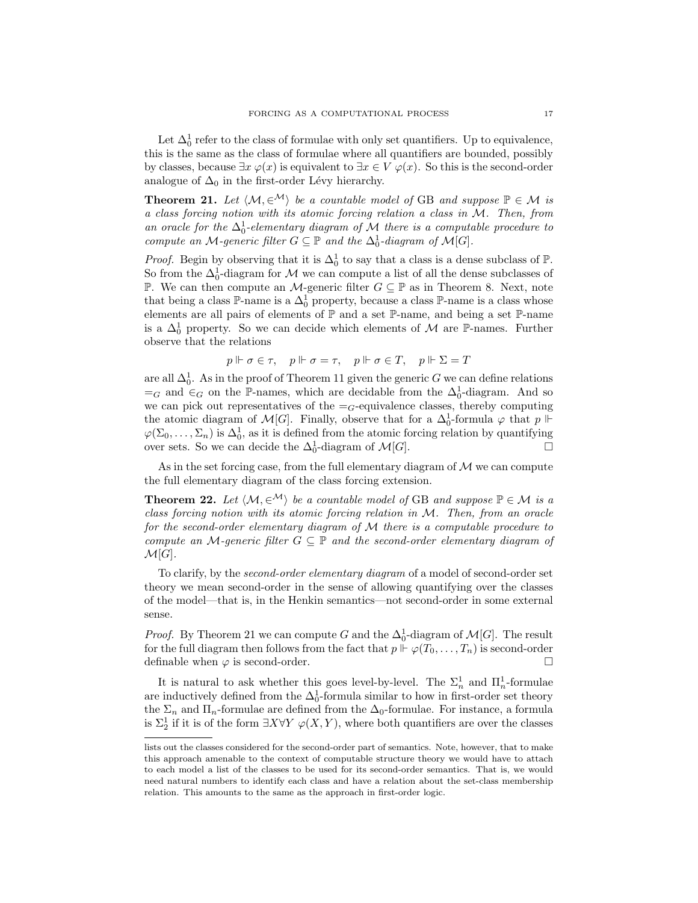Let  $\Delta_0^1$  refer to the class of formulae with only set quantifiers. Up to equivalence, this is the same as the class of formulae where all quantifiers are bounded, possibly by classes, because  $\exists x \varphi(x)$  is equivalent to  $\exists x \in V \varphi(x)$ . So this is the second-order analogue of  $\Delta_0$  in the first-order Lévy hierarchy.

<span id="page-16-0"></span>**Theorem 21.** Let  $\langle M, \in^{\mathcal{M}} \rangle$  be a countable model of GB and suppose  $\mathbb{P} \in \mathcal{M}$  is a class forcing notion with its atomic forcing relation a class in M. Then, from an oracle for the  $\Delta_0^1$ -elementary diagram of M there is a computable procedure to compute an M-generic filter  $G \subseteq \mathbb{P}$  and the  $\Delta_0^1$ -diagram of  $\mathcal{M}[G]$ .

*Proof.* Begin by observing that it is  $\Delta_0^1$  to say that a class is a dense subclass of  $\mathbb{P}$ . So from the  $\Delta_0^1$ -diagram for  $\mathcal M$  we can compute a list of all the dense subclasses of P. We can then compute an  $M$ -generic filter  $G ⊆ P$  as in Theorem [8.](#page-5-0) Next, note that being a class  $\mathbb{P}\text{-name}$  is a  $\Delta_0^1$  property, because a class  $\mathbb{P}\text{-name}$  is a class whose elements are all pairs of elements of  $\mathbb P$  and a set  $\mathbb P$ -name, and being a set  $\mathbb P$ -name is a  $\Delta_0^1$  property. So we can decide which elements of M are P-names. Further observe that the relations

$$
p \Vdash \sigma \in \tau, \quad p \Vdash \sigma = \tau, \quad p \Vdash \sigma \in T, \quad p \Vdash \Sigma = T
$$

are all  $\Delta_0^1$ . As in the proof of Theorem [11](#page-9-0) given the generic G we can define relations  $=$ <sub>G</sub> and ∈<sub>G</sub> on the P-names, which are decidable from the  $\Delta_0^1$ -diagram. And so we can pick out representatives of the  $=_G$ -equivalence classes, thereby computing the atomic diagram of  $\mathcal{M}[G]$ . Finally, observe that for a  $\Delta_0^1$ -formula  $\varphi$  that  $p \Vdash$  $\varphi(\Sigma_0,\ldots,\Sigma_n)$  is  $\Delta_0^1$ , as it is defined from the atomic forcing relation by quantifying over sets. So we can decide the  $\Delta_0^1$ -diagram of  $\mathcal{M}[G]$ .

As in the set forcing case, from the full elementary diagram of  $M$  we can compute the full elementary diagram of the class forcing extension.

**Theorem 22.** Let  $\langle M, \in^{\mathcal{M}} \rangle$  be a countable model of GB and suppose  $\mathbb{P} \in \mathcal{M}$  is a class forcing notion with its atomic forcing relation in M. Then, from an oracle for the second-order elementary diagram of M there is a computable procedure to compute an M-generic filter  $G \subseteq \mathbb{P}$  and the second-order elementary diagram of  $\mathcal{M}[G].$ 

To clarify, by the second-order elementary diagram of a model of second-order set theory we mean second-order in the sense of allowing quantifying over the classes of the model—that is, in the Henkin semantics—not second-order in some external sense.

*Proof.* By Theorem [21](#page-16-0) we can compute G and the  $\Delta_0^1$ -diagram of  $\mathcal{M}[G]$ . The result for the full diagram then follows from the fact that  $p \Vdash \varphi(T_0, \ldots, T_n)$  is second-order definable when  $\varphi$  is second-order.

It is natural to ask whether this goes level-by-level. The  $\Sigma_n^1$  and  $\Pi_n^1$ -formulae are inductively defined from the  $\Delta_0^1$ -formula similar to how in first-order set theory the  $\Sigma_n$  and  $\Pi_n$ -formulae are defined from the  $\Delta_0$ -formulae. For instance, a formula is  $\Sigma_2^1$  if it is of the form  $\exists X \forall Y \varphi(X, Y)$ , where both quantifiers are over the classes

lists out the classes considered for the second-order part of semantics. Note, however, that to make this approach amenable to the context of computable structure theory we would have to attach to each model a list of the classes to be used for its second-order semantics. That is, we would need natural numbers to identify each class and have a relation about the set-class membership relation. This amounts to the same as the approach in first-order logic.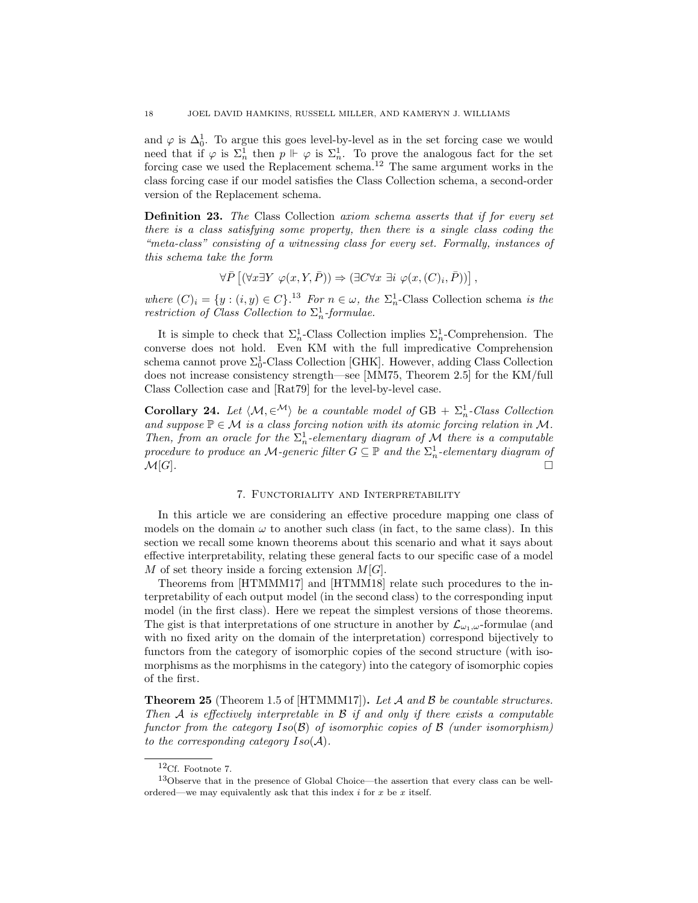and  $\varphi$  is  $\Delta_0^1$ . To argue this goes level-by-level as in the set forcing case we would need that if  $\varphi$  is  $\Sigma_n^1$  then  $p \Vdash \varphi$  is  $\Sigma_n^1$ . To prove the analogous fact for the set forcing case we used the Replacement schema.[12](#page-17-1) The same argument works in the class forcing case if our model satisfies the Class Collection schema, a second-order version of the Replacement schema.

Definition 23. The Class Collection axiom schema asserts that if for every set there is a class satisfying some property, then there is a single class coding the "meta-class" consisting of a witnessing class for every set. Formally, instances of this schema take the form

$$
\forall \bar{P} \left[ (\forall x \exists Y \ \varphi(x, Y, \bar{P})) \Rightarrow (\exists C \forall x \ \exists i \ \varphi(x, (C)_i, \bar{P})) \right],
$$

where  $(C)_i = \{y : (i, y) \in C\}$ .<sup>[13](#page-17-2)</sup> For  $n \in \omega$ , the  $\Sigma_n^1$ -Class Collection schema is the restriction of Class Collection to  $\Sigma^1_n$ -formulae.

It is simple to check that  $\Sigma_n^1$ -Class Collection implies  $\Sigma_n^1$ -Comprehension. The converse does not hold. Even KM with the full impredicative Comprehension schema cannot prove  $\Sigma_0^1$ -Class Collection [\[GHK\]](#page-24-10). However, adding Class Collection does not increase consistency strength—see [\[MM75,](#page-25-6) Theorem 2.5] for the KM/full Class Collection case and [\[Rat79\]](#page-25-7) for the level-by-level case.

**Corollary 24.** Let  $\langle M, \in^{\mathcal{M}} \rangle$  be a countable model of GB +  $\Sigma^1_n$ -Class Collection and suppose  $\mathbb{P} \in \mathcal{M}$  is a class forcing notion with its atomic forcing relation in M. Then, from an oracle for the  $\Sigma_n^1$ -elementary diagram of M there is a computable procedure to produce an M-generic filter  $G \subseteq \mathbb{P}$  and the  $\Sigma_n^1$ -elementary diagram of  $\mathcal{M}[G].$ 

### 7. Functoriality and Interpretability

<span id="page-17-0"></span>In this article we are considering an effective procedure mapping one class of models on the domain  $\omega$  to another such class (in fact, to the same class). In this section we recall some known theorems about this scenario and what it says about effective interpretability, relating these general facts to our specific case of a model M of set theory inside a forcing extension  $M[G]$ .

Theorems from [\[HTMMM17\]](#page-24-11) and [\[HTMM18\]](#page-24-12) relate such procedures to the interpretability of each output model (in the second class) to the corresponding input model (in the first class). Here we repeat the simplest versions of those theorems. The gist is that interpretations of one structure in another by  $\mathcal{L}_{\omega_1,\omega}$ -formulae (and with no fixed arity on the domain of the interpretation) correspond bijectively to functors from the category of isomorphic copies of the second structure (with isomorphisms as the morphisms in the category) into the category of isomorphic copies of the first.

<span id="page-17-3"></span>**Theorem 25** (Theorem 1.5 of  $[HTMLMI7]$ ). Let A and B be countable structures. Then  $A$  is effectively interpretable in  $B$  if and only if there exists a computable functor from the category  $Iso(\mathcal{B})$  of isomorphic copies of  $\mathcal{B}$  (under isomorphism) to the corresponding category  $Iso(\mathcal{A})$ .

<span id="page-17-2"></span><span id="page-17-1"></span> $^{12}\mathrm{Cf.}$  Footnote [7.](#page-10-0)

<sup>13</sup>Observe that in the presence of Global Choice—the assertion that every class can be wellordered—we may equivalently ask that this index  $i$  for  $x$  be  $x$  itself.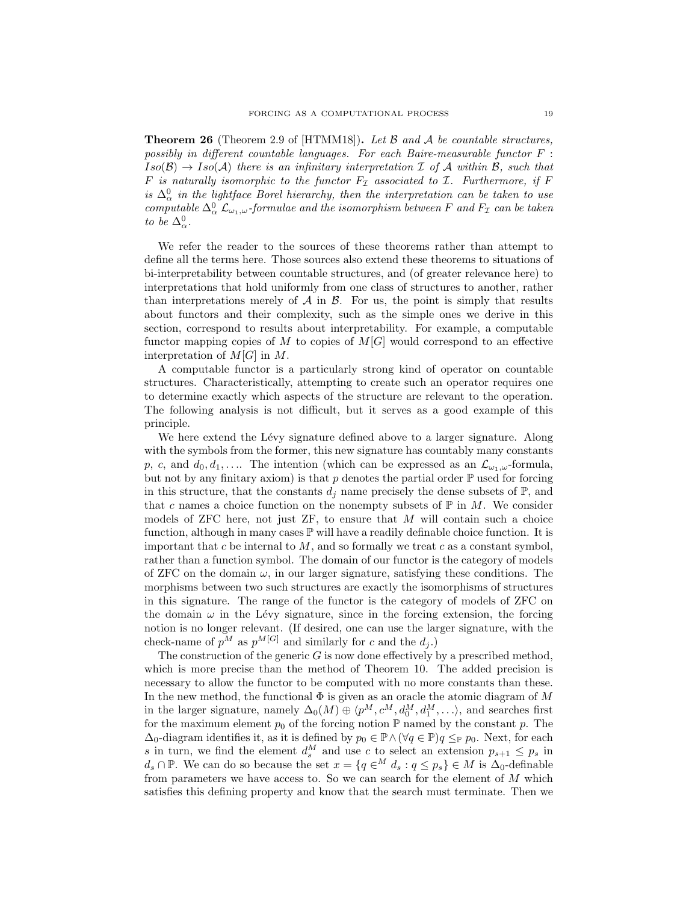**Theorem 26** (Theorem 2.9 of  $[HTML18]$ ). Let B and A be countable structures, possibly in different countable languages. For each Baire-measurable functor F :  $Iso(\mathcal{B}) \to Iso(\mathcal{A})$  there is an infinitary interpretation  $\mathcal I$  of  $\mathcal A$  within  $\mathcal B$ , such that F is naturally isomorphic to the functor  $F_{\mathcal{I}}$  associated to  $\mathcal{I}$ . Furthermore, if F is  $\Delta_{\alpha}^{0}$  in the lightface Borel hierarchy, then the interpretation can be taken to use computable  $\Delta^0_\alpha$   $\mathcal{L}_{\omega_1,\omega}$ -formulae and the isomorphism between F and  $F_{\mathcal{I}}$  can be taken to be  $\Delta_{\alpha}^0$ .

We refer the reader to the sources of these theorems rather than attempt to define all the terms here. Those sources also extend these theorems to situations of bi-interpretability between countable structures, and (of greater relevance here) to interpretations that hold uniformly from one class of structures to another, rather than interpretations merely of  $A$  in  $B$ . For us, the point is simply that results about functors and their complexity, such as the simple ones we derive in this section, correspond to results about interpretability. For example, a computable functor mapping copies of M to copies of  $M[G]$  would correspond to an effective interpretation of  $M[G]$  in  $M$ .

A computable functor is a particularly strong kind of operator on countable structures. Characteristically, attempting to create such an operator requires one to determine exactly which aspects of the structure are relevant to the operation. The following analysis is not difficult, but it serves as a good example of this principle.

We here extend the Lévy signature defined above to a larger signature. Along with the symbols from the former, this new signature has countably many constants p, c, and  $d_0, d_1, \ldots$  The intention (which can be expressed as an  $\mathcal{L}_{\omega_1,\omega}$ -formula, but not by any finitary axiom) is that p denotes the partial order  $\mathbb P$  used for forcing in this structure, that the constants  $d_i$  name precisely the dense subsets of  $\mathbb{P}$ , and that c names a choice function on the nonempty subsets of  $\mathbb P$  in M. We consider models of ZFC here, not just  $ZF$ , to ensure that  $M$  will contain such a choice function, although in many cases  $\mathbb P$  will have a readily definable choice function. It is important that  $c$  be internal to  $M$ , and so formally we treat  $c$  as a constant symbol, rather than a function symbol. The domain of our functor is the category of models of ZFC on the domain  $\omega$ , in our larger signature, satisfying these conditions. The morphisms between two such structures are exactly the isomorphisms of structures in this signature. The range of the functor is the category of models of ZFC on the domain  $\omega$  in the Lévy signature, since in the forcing extension, the forcing notion is no longer relevant. (If desired, one can use the larger signature, with the check-name of  $p^M$  as  $p^{M[G]}$  and similarly for c and the  $d_i$ .)

The construction of the generic  $G$  is now done effectively by a prescribed method, which is more precise than the method of Theorem [10.](#page-8-0) The added precision is necessary to allow the functor to be computed with no more constants than these. In the new method, the functional  $\Phi$  is given as an oracle the atomic diagram of M in the larger signature, namely  $\Delta_0(M) \oplus \langle p^M, c^M, d_0^M, d_1^M, \ldots \rangle$ , and searches first for the maximum element  $p_0$  of the forcing notion P named by the constant p. The  $\Delta_0$ -diagram identifies it, as it is defined by  $p_0 \in \mathbb{P} \wedge (\forall q \in \mathbb{P})$   $q \leq_{\mathbb{P}} p_0$ . Next, for each s in turn, we find the element  $d_s^M$  and use c to select an extension  $p_{s+1} \leq p_s$  in  $d_s \cap \mathbb{P}$ . We can do so because the set  $x = \{q \in M \, d_s : q \leq p_s \} \in M$  is  $\Delta_0$ -definable from parameters we have access to. So we can search for the element of  $M$  which satisfies this defining property and know that the search must terminate. Then we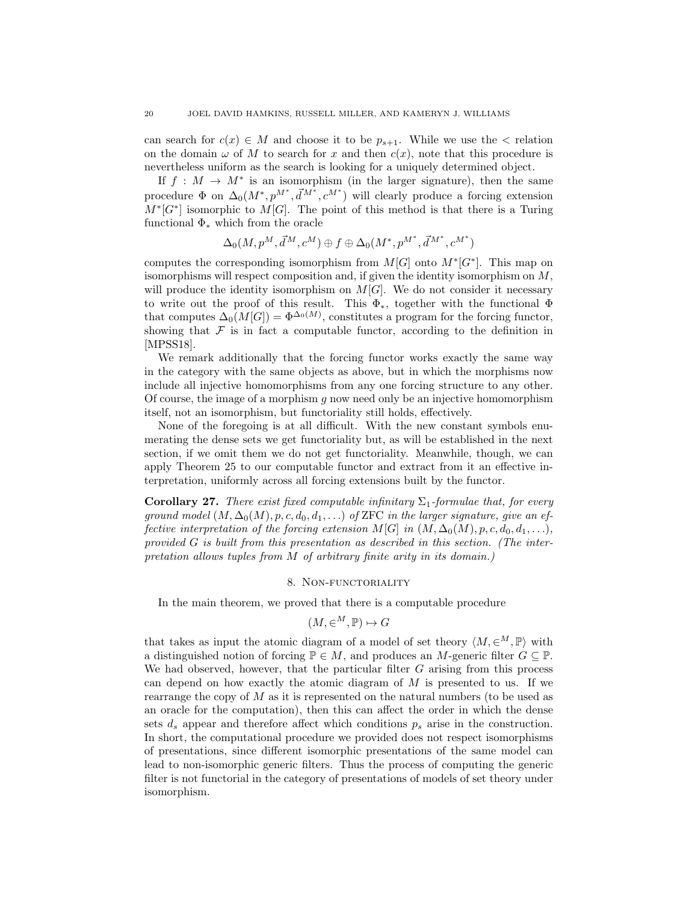can search for  $c(x) \in M$  and choose it to be  $p_{s+1}$ . While we use the  $\lt$  relation on the domain  $\omega$  of M to search for x and then  $c(x)$ , note that this procedure is nevertheless uniform as the search is looking for a uniquely determined object.

If  $f : M \to M^*$  is an isomorphism (in the larger signature), then the same procedure  $\Phi$  on  $\Delta_0(M^*, p^{M^*}, \vec{d}^{M^*}, c^{M^*})$  will clearly produce a forcing extension  $M^*[G^*]$  isomorphic to  $M[G]$ . The point of this method is that there is a Turing functional  $\Phi_*$  which from the oracle

$$
\Delta_0(M, p^M, \vec{d}^M, c^M) \oplus f \oplus \Delta_0(M^*, p^{M^*}, \vec{d}^{M^*}, c^{M^*})
$$

computes the corresponding isomorphism from  $M[G]$  onto  $M^*[G^*]$ . This map on isomorphisms will respect composition and, if given the identity isomorphism on  $M$ , will produce the identity isomorphism on  $M[G]$ . We do not consider it necessary to write out the proof of this result. This  $\Phi_*$ , together with the functional  $\Phi$ that computes  $\Delta_0(M[G]) = \Phi^{\Delta_0(M)}$ , constitutes a program for the forcing functor, showing that  $\mathcal F$  is in fact a computable functor, according to the definition in [\[MPSS18\]](#page-25-8).

We remark additionally that the forcing functor works exactly the same way in the category with the same objects as above, but in which the morphisms now include all injective homomorphisms from any one forcing structure to any other. Of course, the image of a morphism q now need only be an injective homomorphism itself, not an isomorphism, but functoriality still holds, effectively.

None of the foregoing is at all difficult. With the new constant symbols enumerating the dense sets we get functoriality but, as will be established in the next section, if we omit them we do not get functoriality. Meanwhile, though, we can apply Theorem [25](#page-17-3) to our computable functor and extract from it an effective interpretation, uniformly across all forcing extensions built by the functor.

**Corollary 27.** There exist fixed computable infinitary  $\Sigma_1$ -formulae that, for every ground model  $(M, \Delta_0(M), p, c, d_0, d_1, \ldots)$  of ZFC in the larger signature, give an effective interpretation of the forcing extension  $M[G]$  in  $(M, \Delta_0(M), p, c, d_0, d_1, \ldots)$ , provided G is built from this presentation as described in this section. (The interpretation allows tuples from M of arbitrary finite arity in its domain.)

### 8. Non-functoriality

<span id="page-19-0"></span>In the main theorem, we proved that there is a computable procedure

$$
(M, \in^M, \mathbb{P}) \mapsto G
$$

that takes as input the atomic diagram of a model of set theory  $\langle M, \in^M, \mathbb{P} \rangle$  with a distinguished notion of forcing  $\mathbb{P} \in M$ , and produces an M-generic filter  $G \subseteq \mathbb{P}$ . We had observed, however, that the particular filter  $G$  arising from this process can depend on how exactly the atomic diagram of  $M$  is presented to us. If we rearrange the copy of M as it is represented on the natural numbers (to be used as an oracle for the computation), then this can affect the order in which the dense sets  $d_s$  appear and therefore affect which conditions  $p_s$  arise in the construction. In short, the computational procedure we provided does not respect isomorphisms of presentations, since different isomorphic presentations of the same model can lead to non-isomorphic generic filters. Thus the process of computing the generic filter is not functorial in the category of presentations of models of set theory under isomorphism.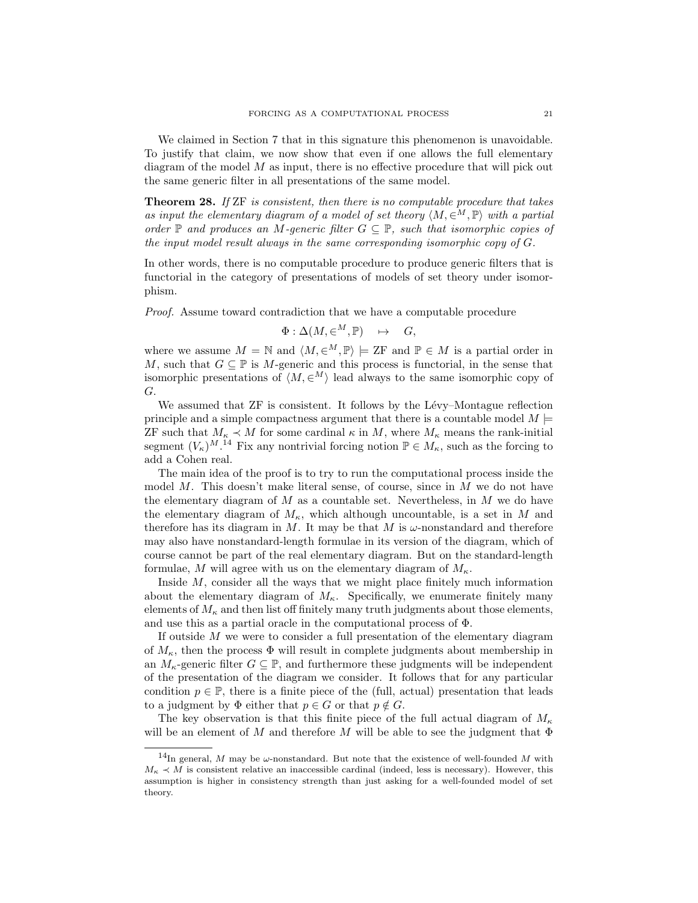We claimed in Section [7](#page-17-0) that in this signature this phenomenon is unavoidable. To justify that claim, we now show that even if one allows the full elementary diagram of the model  $M$  as input, there is no effective procedure that will pick out the same generic filter in all presentations of the same model.

<span id="page-20-1"></span>**Theorem 28.** If  $ZF$  is consistent, then there is no computable procedure that takes as input the elementary diagram of a model of set theory  $\langle M, \in^M, \mathbb{P} \rangle$  with a partial order  $\mathbb P$  and produces an M-generic filter  $G \subseteq \mathbb P$ , such that isomorphic copies of the input model result always in the same corresponding isomorphic copy of G.

In other words, there is no computable procedure to produce generic filters that is functorial in the category of presentations of models of set theory under isomorphism.

Proof. Assume toward contradiction that we have a computable procedure

$$
\Phi : \Delta(M, \in^M, \mathbb{P}) \quad \mapsto \quad G,
$$

where we assume  $M = \mathbb{N}$  and  $\langle M, \in^M, \mathbb{P} \rangle \models \mathbb{ZF}$  and  $\mathbb{P} \in M$  is a partial order in M, such that  $G \subseteq \mathbb{P}$  is M-generic and this process is functorial, in the sense that isomorphic presentations of  $\langle M, \in^M \rangle$  lead always to the same isomorphic copy of G.

We assumed that  $ZF$  is consistent. It follows by the Lévy–Montague reflection principle and a simple compactness argument that there is a countable model  $M \models$ ZF such that  $M_{\kappa} \prec M$  for some cardinal  $\kappa$  in M, where  $M_{\kappa}$  means the rank-initial segment  $(V_{\kappa})^{M}$ .<sup>[14](#page-20-0)</sup> Fix any nontrivial forcing notion  $\mathbb{P} \in M_{\kappa}$ , such as the forcing to add a Cohen real.

The main idea of the proof is to try to run the computational process inside the model M. This doesn't make literal sense, of course, since in  $M$  we do not have the elementary diagram of  $M$  as a countable set. Nevertheless, in  $M$  we do have the elementary diagram of  $M_{\kappa}$ , which although uncountable, is a set in M and therefore has its diagram in M. It may be that M is  $\omega$ -nonstandard and therefore may also have nonstandard-length formulae in its version of the diagram, which of course cannot be part of the real elementary diagram. But on the standard-length formulae, M will agree with us on the elementary diagram of  $M_{\kappa}$ .

Inside  $M$ , consider all the ways that we might place finitely much information about the elementary diagram of  $M_{\kappa}$ . Specifically, we enumerate finitely many elements of  $M_{\kappa}$  and then list off finitely many truth judgments about those elements, and use this as a partial oracle in the computational process of Φ.

If outside M we were to consider a full presentation of the elementary diagram of  $M_{\kappa}$ , then the process  $\Phi$  will result in complete judgments about membership in an  $M_{\kappa}$ -generic filter  $G \subseteq \mathbb{P}$ , and furthermore these judgments will be independent of the presentation of the diagram we consider. It follows that for any particular condition  $p \in \mathbb{P}$ , there is a finite piece of the (full, actual) presentation that leads to a judgment by  $\Phi$  either that  $p \in G$  or that  $p \notin G$ .

The key observation is that this finite piece of the full actual diagram of  $M_{\kappa}$ will be an element of M and therefore M will be able to see the judgment that  $\Phi$ 

<span id="page-20-0"></span> $14$ In general, M may be  $\omega$ -nonstandard. But note that the existence of well-founded M with  $M_{\kappa} \prec M$  is consistent relative an inaccessible cardinal (indeed, less is necessary). However, this assumption is higher in consistency strength than just asking for a well-founded model of set theory.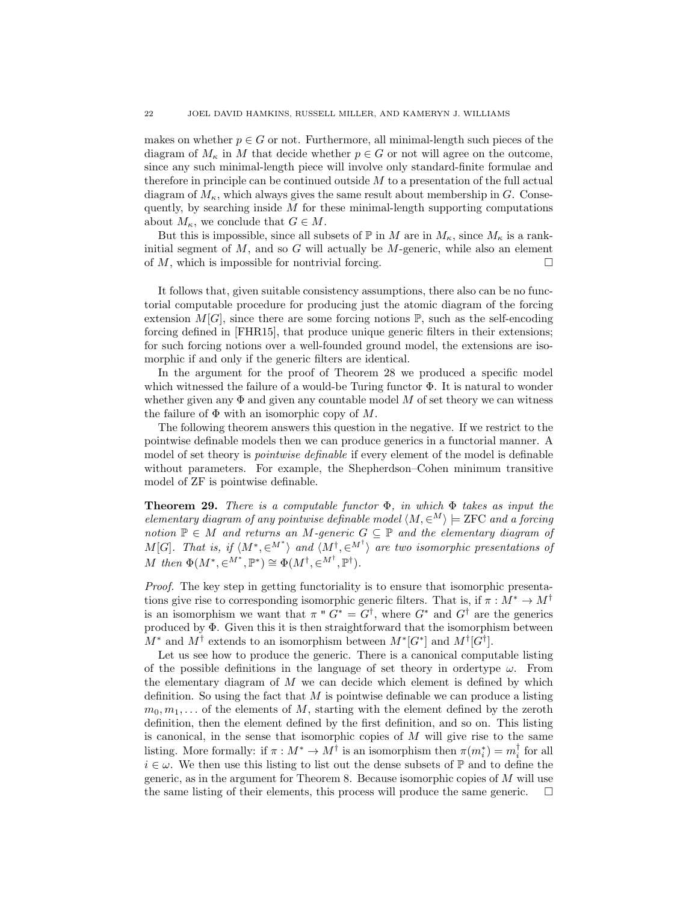makes on whether  $p \in G$  or not. Furthermore, all minimal-length such pieces of the diagram of  $M_{\kappa}$  in M that decide whether  $p \in G$  or not will agree on the outcome, since any such minimal-length piece will involve only standard-finite formulae and therefore in principle can be continued outside M to a presentation of the full actual diagram of  $M_{\kappa}$ , which always gives the same result about membership in G. Consequently, by searching inside  $M$  for these minimal-length supporting computations about  $M_{\kappa}$ , we conclude that  $G \in M$ .

But this is impossible, since all subsets of  $\mathbb P$  in M are in  $M_\kappa$ , since  $M_\kappa$  is a rankinitial segment of  $M$ , and so  $G$  will actually be  $M$ -generic, while also an element of  $M$ , which is impossible for nontrivial forcing.

It follows that, given suitable consistency assumptions, there also can be no functorial computable procedure for producing just the atomic diagram of the forcing extension  $M[G]$ , since there are some forcing notions  $\mathbb{P}$ , such as the self-encoding forcing defined in [\[FHR15\]](#page-24-5), that produce unique generic filters in their extensions; for such forcing notions over a well-founded ground model, the extensions are isomorphic if and only if the generic filters are identical.

In the argument for the proof of Theorem [28](#page-20-1) we produced a specific model which witnessed the failure of a would-be Turing functor  $\Phi$ . It is natural to wonder whether given any  $\Phi$  and given any countable model M of set theory we can witness the failure of  $\Phi$  with an isomorphic copy of M.

The following theorem answers this question in the negative. If we restrict to the pointwise definable models then we can produce generics in a functorial manner. A model of set theory is pointwise definable if every element of the model is definable without parameters. For example, the Shepherdson–Cohen minimum transitive model of ZF is pointwise definable.

**Theorem 29.** There is a computable functor  $\Phi$ , in which  $\Phi$  takes as input the elementary diagram of any pointwise definable model  $\langle M, \in^M \rangle \models$  ZFC and a forcing notion  $\mathbb{P} \in M$  and returns an M-generic  $G \subseteq \mathbb{P}$  and the elementary diagram of M[G]. That is, if  $\langle M^*, \in^{\mathcal{M}^*} \rangle$  and  $\langle M^{\dagger}, \in^{\mathcal{M}^{\dagger}} \rangle$  are two isomorphic presentations of M then  $\Phi(M^*, \in^M^*, \mathbb{P}^*) \cong \Phi(M^{\dagger}, \in^M^{\dagger}, \mathbb{P}^{\dagger}).$ 

Proof. The key step in getting functoriality is to ensure that isomorphic presentations give rise to corresponding isomorphic generic filters. That is, if  $\pi : M^* \to M^{\dagger}$ is an isomorphism we want that  $\pi$  "  $G^* = G^{\dagger}$ , where  $G^*$  and  $G^{\dagger}$  are the generics produced by Φ. Given this it is then straightforward that the isomorphism between  $M^*$  and  $M^{\dagger}$  extends to an isomorphism between  $M^*[G^*]$  and  $M^{\dagger}[G^{\dagger}]$ .

Let us see how to produce the generic. There is a canonical computable listing of the possible definitions in the language of set theory in ordertype  $\omega$ . From the elementary diagram of  $M$  we can decide which element is defined by which definition. So using the fact that  $M$  is pointwise definable we can produce a listing  $m_0, m_1, \ldots$  of the elements of M, starting with the element defined by the zeroth definition, then the element defined by the first definition, and so on. This listing is canonical, in the sense that isomorphic copies of  $M$  will give rise to the same listing. More formally: if  $\pi : M^* \to M^{\dagger}$  is an isomorphism then  $\pi(m_i^*) = m_i^{\dagger}$  for all  $i \in \omega$ . We then use this listing to list out the dense subsets of  $\mathbb{P}$  and to define the generic, as in the argument for Theorem [8.](#page-5-0) Because isomorphic copies of  $M$  will use the same listing of their elements, this process will produce the same generic.  $\square$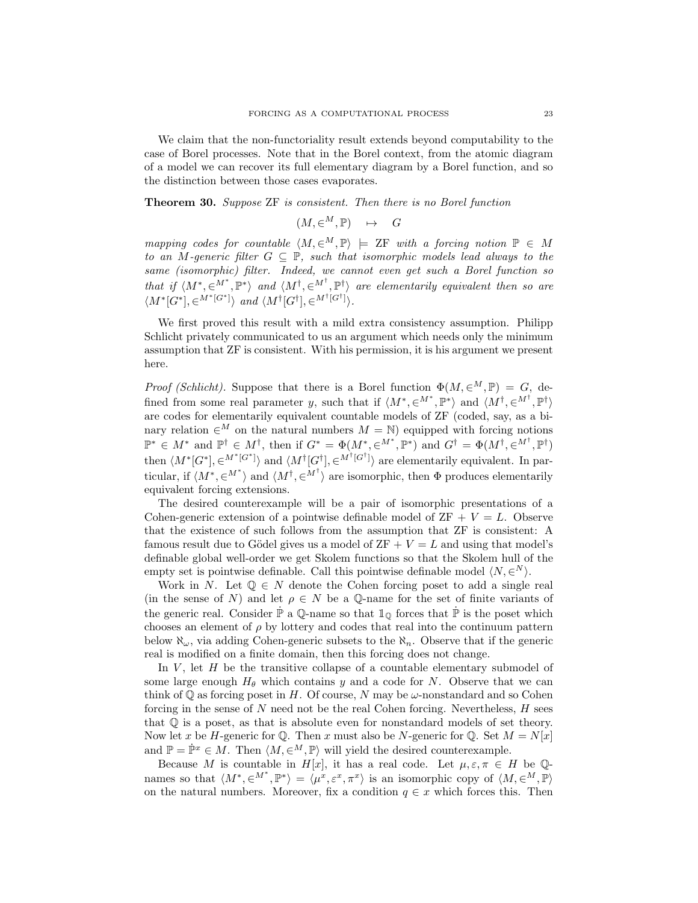We claim that the non-functoriality result extends beyond computability to the case of Borel processes. Note that in the Borel context, from the atomic diagram of a model we can recover its full elementary diagram by a Borel function, and so the distinction between those cases evaporates.

Theorem 30. Suppose ZF is consistent. Then there is no Borel function

$$
(M,\in^M,\mathbb{P}) \quad \mapsto \quad G
$$

mapping codes for countable  $\langle M, \in^M, \mathbb{P} \rangle \models ZF$  with a forcing notion  $\mathbb{P} \in M$ to an M-generic filter  $G \subseteq \mathbb{P}$ , such that isomorphic models lead always to the same (isomorphic) filter. Indeed, we cannot even get such a Borel function so that if  $\langle M^*, \in^{\mathcal{M}^*}, \mathbb{P}^* \rangle$  and  $\langle M^*, \in^{\mathcal{M}^*}, \mathbb{P}^* \rangle$  are elementarily equivalent then so are  $\langle M^*[G^*], \in^{M^*[G^*]} \rangle$  and  $\langle M^{\dagger}[G^{\dagger}], \in^{M^{\dagger}[G^{\dagger}]} \rangle$ .

We first proved this result with a mild extra consistency assumption. Philipp Schlicht privately communicated to us an argument which needs only the minimum assumption that ZF is consistent. With his permission, it is his argument we present here.

Proof (Schlicht). Suppose that there is a Borel function  $\Phi(M, \in M, \mathbb{P}) = G$ , defined from some real parameter y, such that if  $\langle M^*, \in M^*, \mathbb{P}^* \rangle$  and  $\langle M^{\dagger}, \in M^{\dagger}, \mathbb{P}^{\dagger} \rangle$ are codes for elementarily equivalent countable models of ZF (coded, say, as a binary relation  $\in^M$  on the natural numbers  $M = \mathbb{N}$ ) equipped with forcing notions  $\mathbb{P}^* \in M^*$  and  $\mathbb{P}^{\dagger} \in M^{\dagger}$ , then if  $G^* = \Phi(M^*, \in^{M^*}, \mathbb{P}^*)$  and  $G^{\dagger} = \Phi(M^{\dagger}, \in^{M^{\dagger}}, \mathbb{P}^{\dagger})$ then  $\langle M^*[G^*], \in M^*[G^*] \rangle$  and  $\langle M^*[G^{\dagger}], \in M^*[G^{\dagger}] \rangle$  are elementarily equivalent. In particular, if  $\langle M^*, \in M^* \rangle$  and  $\langle M^{\dagger}, \in M^{\dagger} \rangle$  are isomorphic, then  $\Phi$  produces elementarily equivalent forcing extensions.

The desired counterexample will be a pair of isomorphic presentations of a Cohen-generic extension of a pointwise definable model of  $ZF + V = L$ . Observe that the existence of such follows from the assumption that ZF is consistent: A famous result due to Gödel gives us a model of  $ZF + V = L$  and using that model's definable global well-order we get Skolem functions so that the Skolem hull of the empty set is pointwise definable. Call this pointwise definable model  $\langle N, \in N \rangle$ .

Work in N. Let  $\mathbb{Q} \in N$  denote the Cohen forcing poset to add a single real (in the sense of N) and let  $\rho \in N$  be a Q-name for the set of finite variants of the generic real. Consider  $\dot{\mathbb{P}}$  a  $\mathbb{Q}$ -name so that  $\mathbb{1}_{\mathbb{Q}}$  forces that  $\dot{\mathbb{P}}$  is the poset which chooses an element of  $\rho$  by lottery and codes that real into the continuum pattern below  $\aleph_{\omega}$ , via adding Cohen-generic subsets to the  $\aleph_n$ . Observe that if the generic real is modified on a finite domain, then this forcing does not change.

In  $V$ , let  $H$  be the transitive collapse of a countable elementary submodel of some large enough  $H_{\theta}$  which contains y and a code for N. Observe that we can think of  $\mathbb Q$  as forcing poset in H. Of course, N may be  $\omega$ -nonstandard and so Cohen forcing in the sense of  $N$  need not be the real Cohen forcing. Nevertheless,  $H$  sees that  $\mathbb Q$  is a poset, as that is absolute even for nonstandard models of set theory. Now let x be H-generic for Q. Then x must also be N-generic for Q. Set  $M = N[x]$ and  $\mathbb{P} = \dot{\mathbb{P}}^x \in M$ . Then  $\langle M, \in^M, \mathbb{P} \rangle$  will yield the desired counterexample.

Because M is countable in H[x], it has a real code. Let  $\mu, \varepsilon, \pi \in H$  be  $\mathbb{Q}$ names so that  $\langle M^*, \in^M^*, \mathbb{P}^* \rangle = \langle \mu^x, \varepsilon^x, \pi^x \rangle$  is an isomorphic copy of  $\langle M, \in^M, \mathbb{P} \rangle$ on the natural numbers. Moreover, fix a condition  $q \in x$  which forces this. Then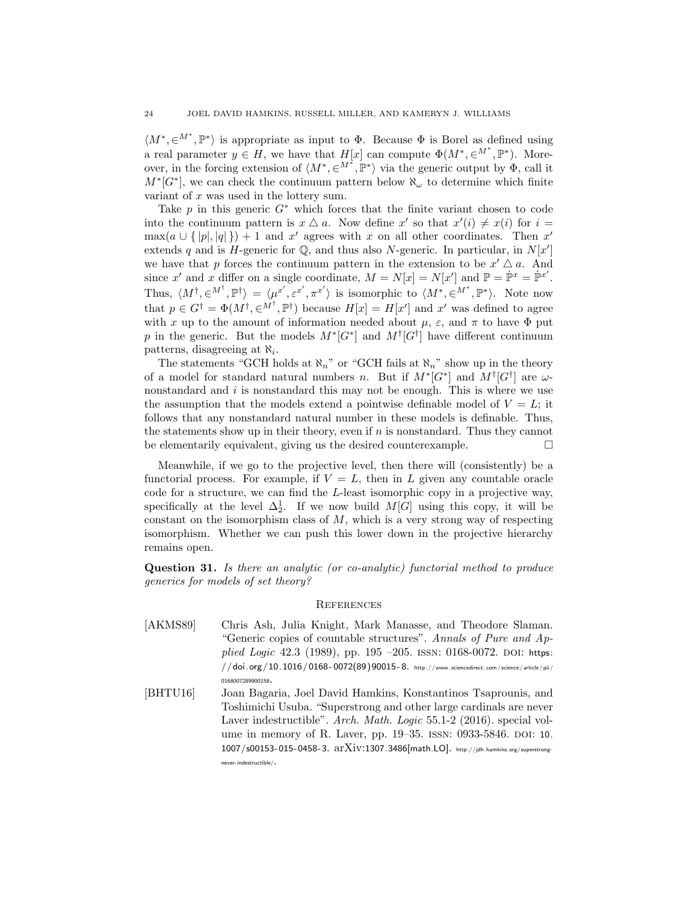$\langle M^*, \in M^*, \mathbb{P}^* \rangle$  is appropriate as input to  $\Phi$ . Because  $\Phi$  is Borel as defined using a real parameter  $y \in H$ , we have that  $H[x]$  can compute  $\Phi(M^*, \in M^*, \mathbb{P}^*)$ . Moreover, in the forcing extension of  $\langle M^*, \in M^*, \mathbb{P}^* \rangle$  via the generic output by  $\Phi$ , call it  $M^*[G^*]$ , we can check the continuum pattern below  $\aleph_\omega$  to determine which finite variant of x was used in the lottery sum.

Take  $p$  in this generic  $G^*$  which forces that the finite variant chosen to code into the continuum pattern is  $x \Delta a$ . Now define x' so that  $x'(i) \neq x(i)$  for  $i =$  $\max(a \cup \{|p|, |q|\}) + 1$  and x' agrees with x on all other coordinates. Then x' extends q and is H-generic for  $\mathbb{Q}$ , and thus also N-generic. In particular, in  $N[x']$ we have that p forces the continuum pattern in the extension to be  $x' \Delta a$ . And since x' and x differ on a single coordinate,  $M = N[x] = N[x']$  and  $\mathbb{P} = \dot{\mathbb{P}}^x = \dot{\mathbb{P}}^{x'}$ . Thus,  $\langle M^{\dagger}, \in M^{\dagger}, \mathbb{P}^{\dagger} \rangle = \langle \mu^{x'}, \varepsilon^{x'}, \pi^{x'} \rangle$  is isomorphic to  $\langle M^*, \in M^*, \mathbb{P}^* \rangle$ . Note now that  $p \in G^{\dagger} = \Phi(M^{\dagger}, \in M^{\dagger}, \mathbb{P}^{\dagger})$  because  $H[x] = H[x']$  and x' was defined to agree with x up to the amount of information needed about  $\mu$ ,  $\varepsilon$ , and  $\pi$  to have  $\Phi$  put p in the generic. But the models  $M^*[G^*]$  and  $M^{\dagger}[G^{\dagger}]$  have different continuum patterns, disagreeing at  $\aleph_i$ .

The statements "GCH holds at  $\aleph_n$ " or "GCH fails at  $\aleph_n$ " show up in the theory of a model for standard natural numbers n. But if  $M^*[G^*]$  and  $M^{\dagger}[G^{\dagger}]$  are  $\omega$ nonstandard and  $i$  is nonstandard this may not be enough. This is where we use the assumption that the models extend a pointwise definable model of  $V = L$ ; it follows that any nonstandard natural number in these models is definable. Thus, the statements show up in their theory, even if  $n$  is nonstandard. Thus they cannot be elementarily equivalent, giving us the desired counterexample.

Meanwhile, if we go to the projective level, then there will (consistently) be a functorial process. For example, if  $V = L$ , then in L given any countable oracle code for a structure, we can find the L-least isomorphic copy in a projective way, specifically at the level  $\Delta_2^1$ . If we now build  $M[G]$  using this copy, it will be constant on the isomorphism class of  $M$ , which is a very strong way of respecting isomorphism. Whether we can push this lower down in the projective hierarchy remains open.

Question 31. Is there an analytic (or co-analytic) functorial method to produce generics for models of set theory?

#### **REFERENCES**

- <span id="page-23-0"></span>[AKMS89] Chris Ash, Julia Knight, Mark Manasse, and Theodore Slaman. "Generic copies of countable structures". Annals of Pure and Applied Logic 42.3 (1989), pp. 195 –205. ISSN: 0168-0072. DOI: [https:](http://dx.doi.org/https://doi.org/10.1016/0168-0072(89)90015-8)  $\frac{1}{100}$   $\frac{1}{100}$   $\frac{1016}{1000}$   $\frac{10168 - 0072(89)90015 - 8.$  http://www.sciencedirect.com/science/article/pii/ [0168007289900158](http://www.sciencedirect.com/science/article/pii/0168007289900158).
- <span id="page-23-1"></span>[BHTU16] Joan Bagaria, Joel David Hamkins, Konstantinos Tsaprounis, and Toshimichi Usuba. "Superstrong and other large cardinals are never Laver indestructible". Arch. Math. Logic 55.1-2 (2016). special vol-ume in memory of R. Laver, pp. 19–35. ISSN: 0933-5846. DOI: [10.](http://dx.doi.org/10.1007/s00153-015-0458-3) [1007/s00153- 015- 0458- 3](http://dx.doi.org/10.1007/s00153-015-0458-3). arXiv:[1307.3486\[](http://arxiv.org/abs/1307.3486)math.LO]. [http://jdh.hamkins.org/superstrong](http://jdh.hamkins.org/superstrong-never-indestructible/)[never-indestructible/](http://jdh.hamkins.org/superstrong-never-indestructible/).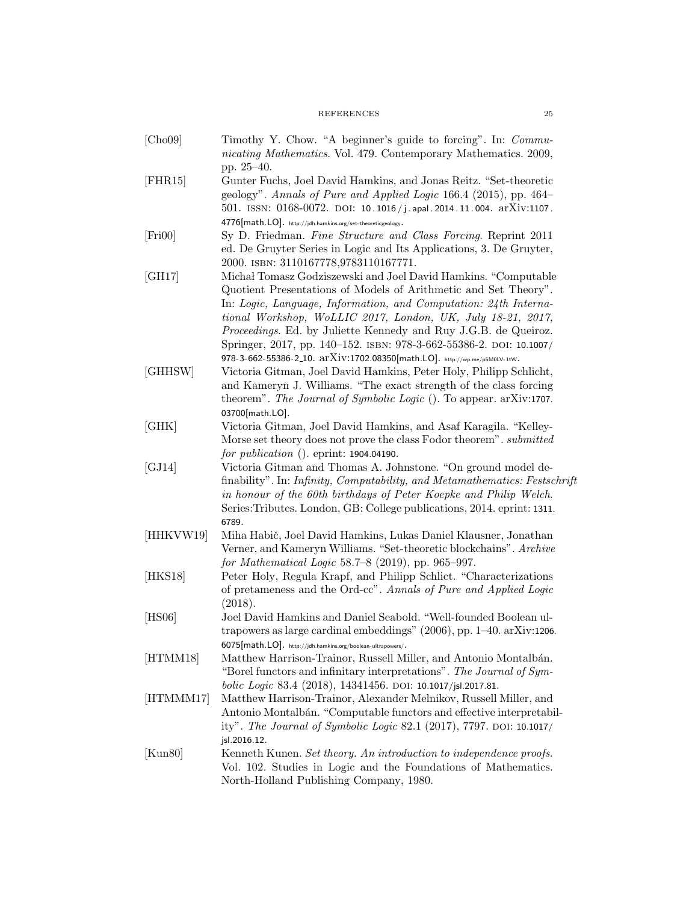# REFERENCES 25

<span id="page-24-12"></span><span id="page-24-11"></span><span id="page-24-10"></span><span id="page-24-9"></span><span id="page-24-8"></span><span id="page-24-7"></span><span id="page-24-6"></span><span id="page-24-5"></span><span id="page-24-4"></span><span id="page-24-3"></span><span id="page-24-2"></span><span id="page-24-1"></span><span id="page-24-0"></span>

| [Cho09]   | Timothy Y. Chow. "A beginner's guide to forcing". In: Commu-<br>nicating Mathematics. Vol. 479. Contemporary Mathematics. 2009,                                                                                                                                                                                                                                                                                       |
|-----------|-----------------------------------------------------------------------------------------------------------------------------------------------------------------------------------------------------------------------------------------------------------------------------------------------------------------------------------------------------------------------------------------------------------------------|
|           | pp. 25-40.                                                                                                                                                                                                                                                                                                                                                                                                            |
| [FHR15]   | Gunter Fuchs, Joel David Hamkins, and Jonas Reitz. "Set-theoretic<br>geology". Annals of Pure and Applied Logic 166.4 (2015), pp. 464–<br>501. ISSN: $0168-0072$ . DOI: 10.1016/j.apal.2014.11.004. ar $Xiv:1107$ .                                                                                                                                                                                                   |
|           | $4776$ [math.LO]. http://jdh.hamkins.org/set-theoreticgeology.                                                                                                                                                                                                                                                                                                                                                        |
| [Fig 100] | Sy D. Friedman. Fine Structure and Class Forcing. Reprint 2011<br>ed. De Gruyter Series in Logic and Its Applications, 3. De Gruyter,<br>2000. ISBN: 3110167778,9783110167771.                                                                                                                                                                                                                                        |
| [GH17]    | Michał Tomasz Godziszewski and Joel David Hamkins. "Computable<br>Quotient Presentations of Models of Arithmetic and Set Theory".<br>In: Logic, Language, Information, and Computation: 24th Interna-<br>tional Workshop, WoLLIC 2017, London, UK, July 18-21, 2017,<br><i>Proceedings.</i> Ed. by Juliette Kennedy and Ruy J.G.B. de Queiroz.<br>Springer, 2017, pp. 140-152. ISBN: 978-3-662-55386-2. DOI: 10.1007/ |
|           | 978-3-662-55386-2_10. arXiv:1702.08350[math.LO]. http://wp.me/p5M0LV-1tW.                                                                                                                                                                                                                                                                                                                                             |
| [GHHSW]   | Victoria Gitman, Joel David Hamkins, Peter Holy, Philipp Schlicht,<br>and Kameryn J. Williams. "The exact strength of the class forcing<br>theorem". The Journal of Symbolic Logic (). To appear. arXiv:1707.                                                                                                                                                                                                         |
| [GHK]     | 03700[math.LO].<br>Victoria Gitman, Joel David Hamkins, and Asaf Karagila. "Kelley-                                                                                                                                                                                                                                                                                                                                   |
|           | Morse set theory does not prove the class Fodor theorem". submitted                                                                                                                                                                                                                                                                                                                                                   |
|           | for <i>publication</i> (). eprint: $1904.04190$ .                                                                                                                                                                                                                                                                                                                                                                     |
| [GJ14]    | Victoria Gitman and Thomas A. Johnstone. "On ground model de-<br>finability". In: Infinity, Computability, and Metamathematics: Festschrift<br>in honour of the 60th birthdays of Peter Koepke and Philip Welch.<br>Series: Tributes. London, GB: College publications, 2014. eprint: 1311.<br>6789.                                                                                                                  |
| [HHKVW19] | Miha Habič, Joel David Hamkins, Lukas Daniel Klausner, Jonathan<br>Verner, and Kameryn Williams. "Set-theoretic blockchains". Archive<br>for Mathematical Logic $58.7 - 8$ (2019), pp. 965-997.                                                                                                                                                                                                                       |
| [HKS18]   | Peter Holy, Regula Krapf, and Philipp Schlict. "Characterizations"<br>of pretameness and the Ord-cc". Annals of Pure and Applied Logic<br>(2018).                                                                                                                                                                                                                                                                     |
| [HS06]    | Joel David Hamkins and Daniel Seabold. "Well-founded Boolean ul-<br>trapowers as large cardinal embeddings" $(2006)$ , pp. 1–40. arXiv:1206.                                                                                                                                                                                                                                                                          |
| [HTMM18]  | $6075[math.LO]$ . http://jdh.hamkins.org/boolean-ultrapowers/.<br>Matthew Harrison-Trainor, Russell Miller, and Antonio Montalbán.<br>"Borel functors and infinitary interpretations". The Journal of Sym-                                                                                                                                                                                                            |
| [HTMMM17] | bolic Logic 83.4 (2018), 14341456. DOI: 10.1017/jsl.2017.81.<br>Matthew Harrison-Trainor, Alexander Melnikov, Russell Miller, and<br>Antonio Montalbán. "Computable functors and effective interpretabil-<br>ity". The Journal of Symbolic Logic 82.1 (2017), 7797. DOI: 10.1017/                                                                                                                                     |
| [Kun80]   | jsl.2016.12.<br>Kenneth Kunen. Set theory. An introduction to independence proofs.<br>Vol. 102. Studies in Logic and the Foundations of Mathematics.<br>North-Holland Publishing Company, 1980.                                                                                                                                                                                                                       |